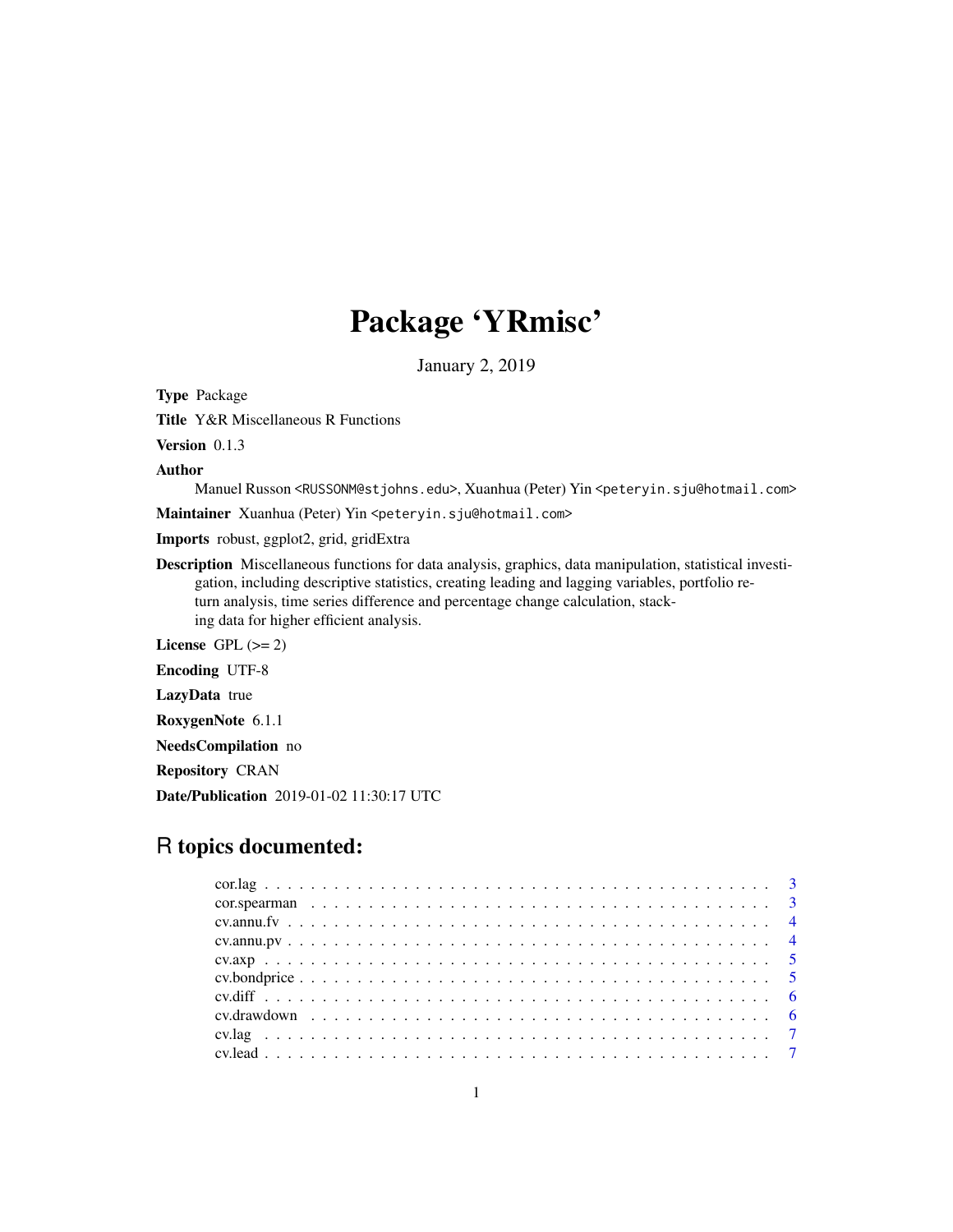# Package 'YRmisc'

January 2, 2019

Type Package

Title Y&R Miscellaneous R Functions

Version 0.1.3

Author

Manuel Russon <RUSSONM@stjohns.edu>, Xuanhua (Peter) Yin <peteryin.sju@hotmail.com>

Maintainer Xuanhua (Peter) Yin <peteryin.sju@hotmail.com>

Imports robust, ggplot2, grid, gridExtra

Description Miscellaneous functions for data analysis, graphics, data manipulation, statistical investigation, including descriptive statistics, creating leading and lagging variables, portfolio return analysis, time series difference and percentage change calculation, stacking data for higher efficient analysis.

License GPL  $(>= 2)$ 

Encoding UTF-8

LazyData true

RoxygenNote 6.1.1

NeedsCompilation no

Repository CRAN

Date/Publication 2019-01-02 11:30:17 UTC

# R topics documented: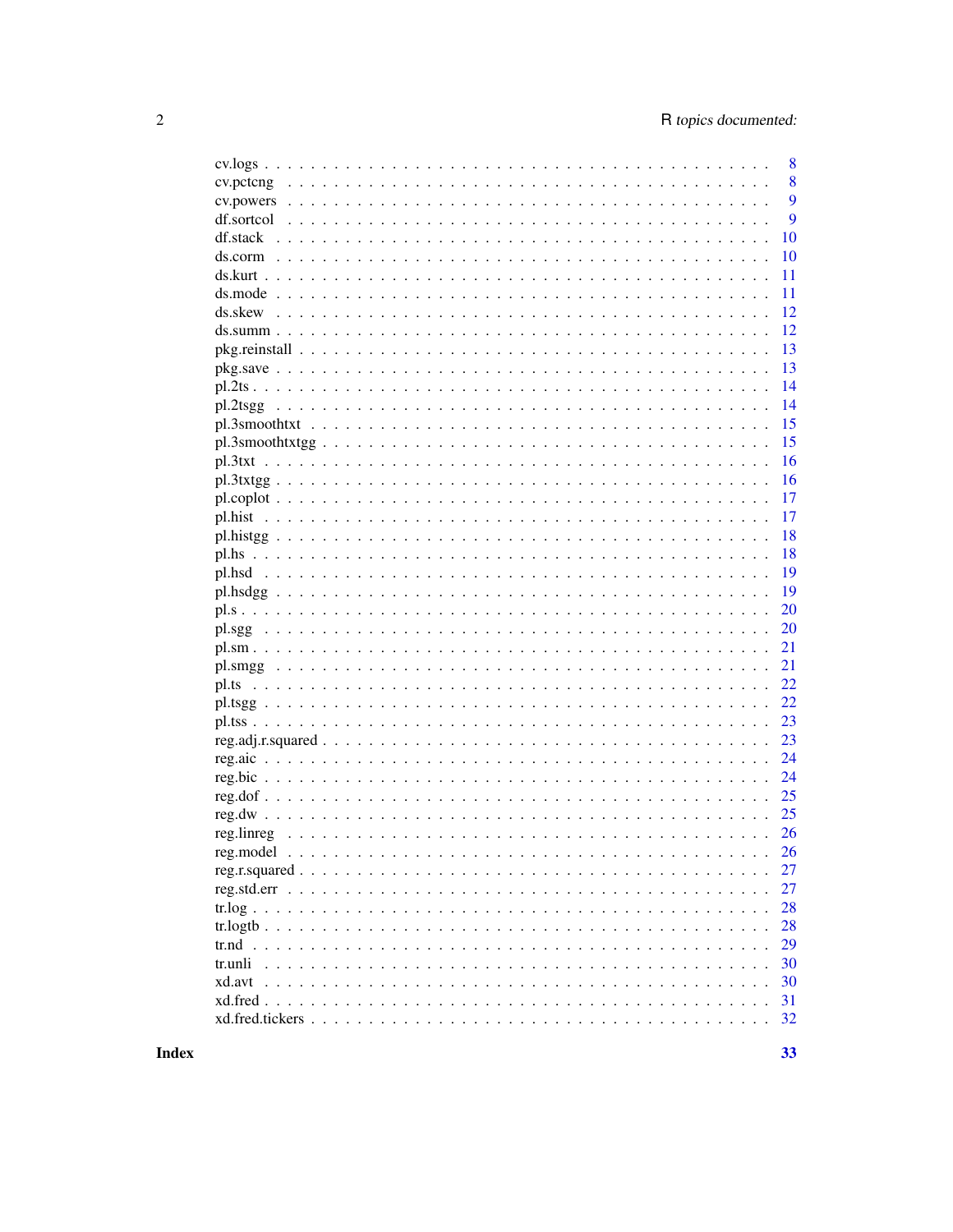|  | 8  |
|--|----|
|  | 8  |
|  | 9  |
|  | 9  |
|  | 10 |
|  | 10 |
|  | 11 |
|  | 11 |
|  | 12 |
|  | 12 |
|  | 13 |
|  | 13 |
|  | 14 |
|  | 14 |
|  | 15 |
|  | 15 |
|  | 16 |
|  | 16 |
|  | 17 |
|  | 17 |
|  | 18 |
|  | 18 |
|  | 19 |
|  | 19 |
|  | 20 |
|  | 20 |
|  | 21 |
|  | 21 |
|  | 22 |
|  | 22 |
|  | 23 |
|  | 23 |
|  | 24 |
|  | 24 |
|  | 25 |
|  | 25 |
|  |    |
|  | 26 |
|  | 26 |
|  | 27 |
|  | 27 |
|  | 28 |
|  | 28 |
|  | 29 |
|  | 30 |
|  | 30 |
|  | 31 |
|  | 32 |
|  |    |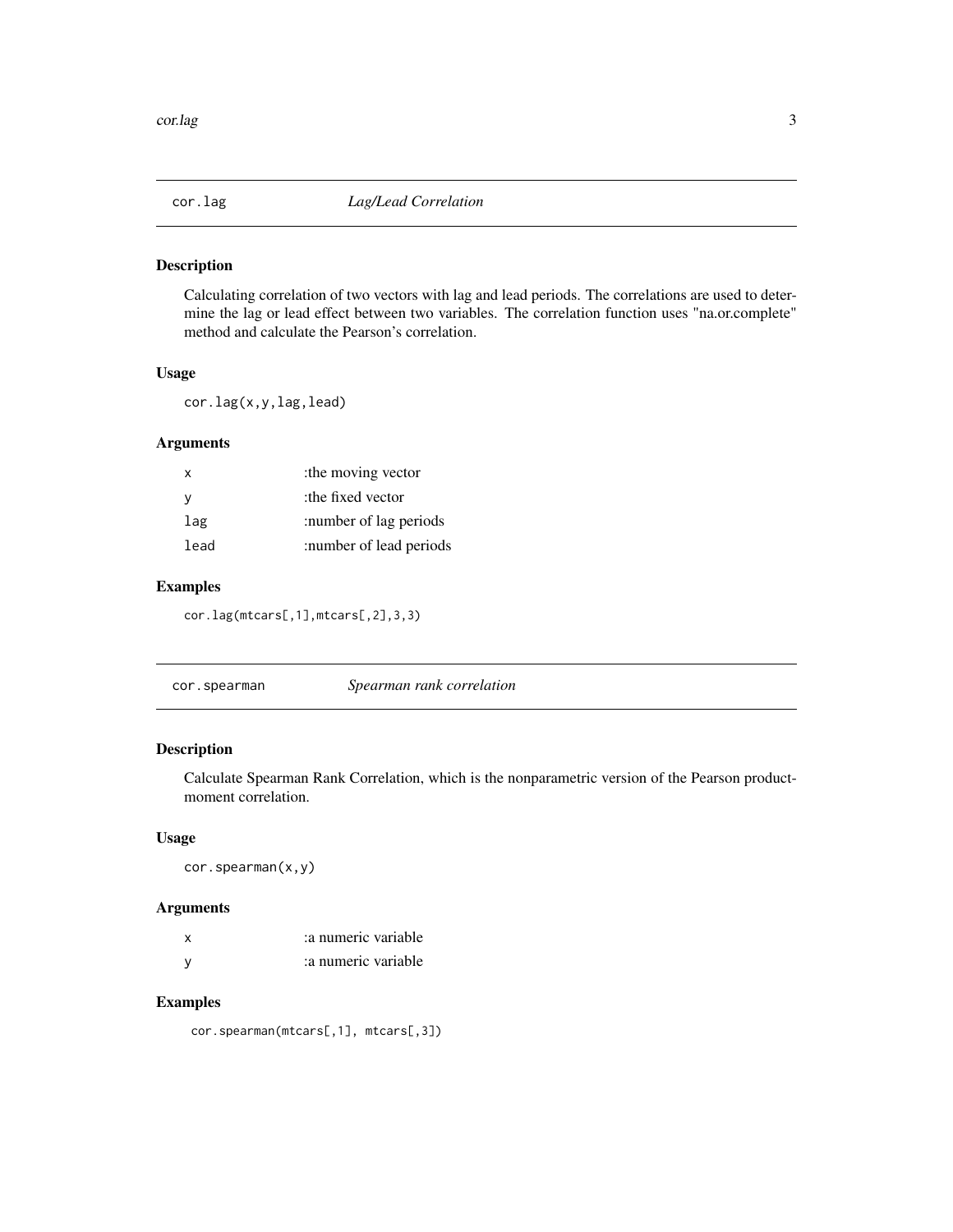<span id="page-2-0"></span>

Calculating correlation of two vectors with lag and lead periods. The correlations are used to determine the lag or lead effect between two variables. The correlation function uses "na.or.complete" method and calculate the Pearson's correlation.

#### Usage

cor.lag(x,y,lag,lead)

#### Arguments

| x    | the moving vector       |
|------|-------------------------|
| v    | the fixed vector:       |
| lag  | :number of lag periods  |
| lead | :number of lead periods |

# Examples

cor.lag(mtcars[,1],mtcars[,2],3,3)

cor.spearman *Spearman rank correlation*

# Description

Calculate Spearman Rank Correlation, which is the nonparametric version of the Pearson productmoment correlation.

# Usage

cor.spearman(x,y)

# Arguments

| x | a numeric variable |
|---|--------------------|
|   | a numeric variable |

# Examples

cor.spearman(mtcars[,1], mtcars[,3])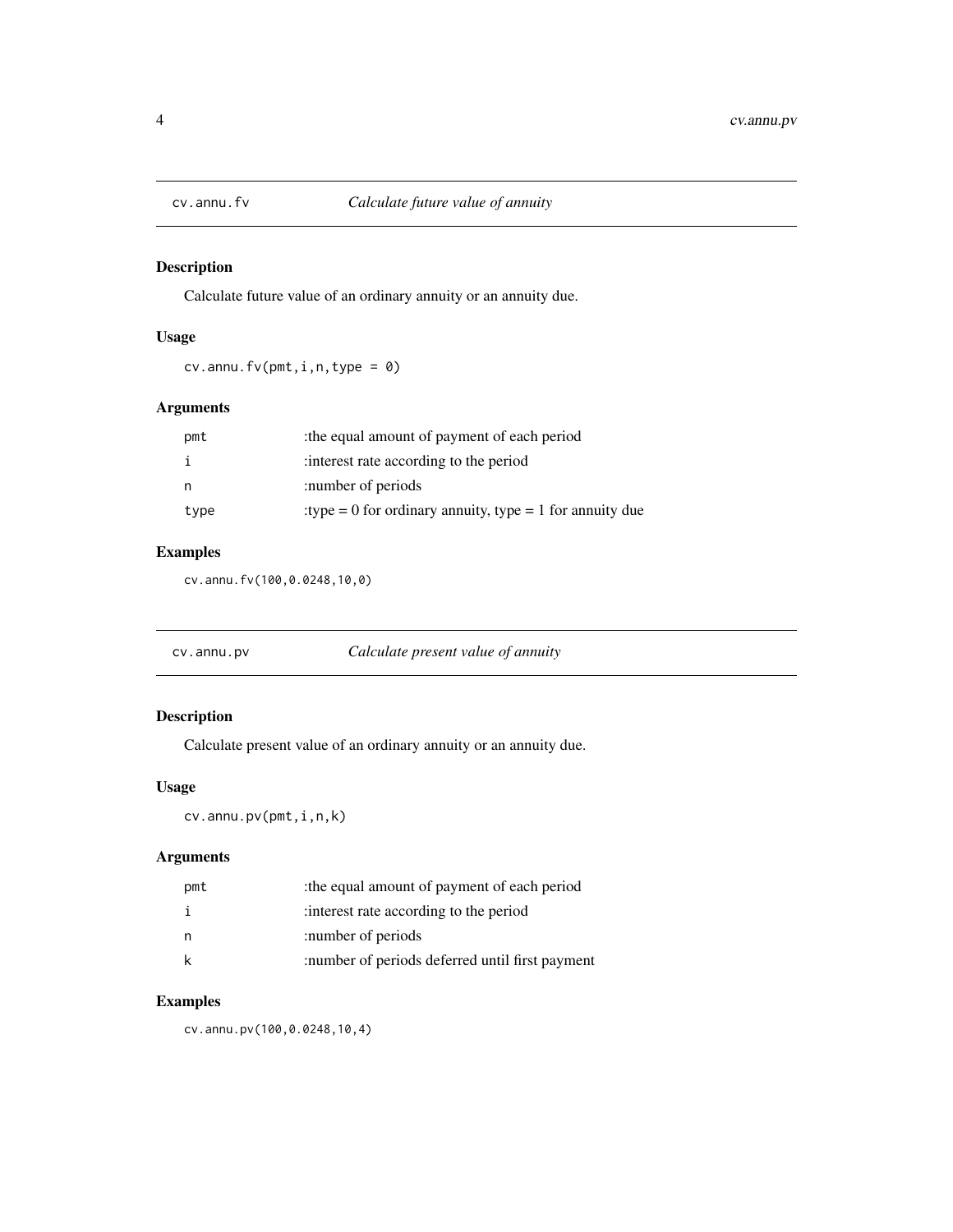<span id="page-3-0"></span>

Calculate future value of an ordinary annuity or an annuity due.

# Usage

 $cv.$  annu.  $fv(pmt, i, n, type = 0)$ 

# Arguments

| pmt  | the equal amount of payment of each period                |
|------|-----------------------------------------------------------|
|      | interest rate according to the period                     |
| n    | :number of periods                                        |
| type | : type = 0 for ordinary annuity, type = 1 for annuity due |

# Examples

cv.annu.fv(100,0.0248,10,0)

| cv.annu.pv | Calculate present value of annuity |
|------------|------------------------------------|
|------------|------------------------------------|

# Description

Calculate present value of an ordinary annuity or an annuity due.

# Usage

cv.annu.pv(pmt,i,n,k)

# Arguments

| pmt | the equal amount of payment of each period      |
|-----|-------------------------------------------------|
|     | interest rate according to the period           |
|     | :number of periods                              |
|     | :number of periods deferred until first payment |

# Examples

cv.annu.pv(100,0.0248,10,4)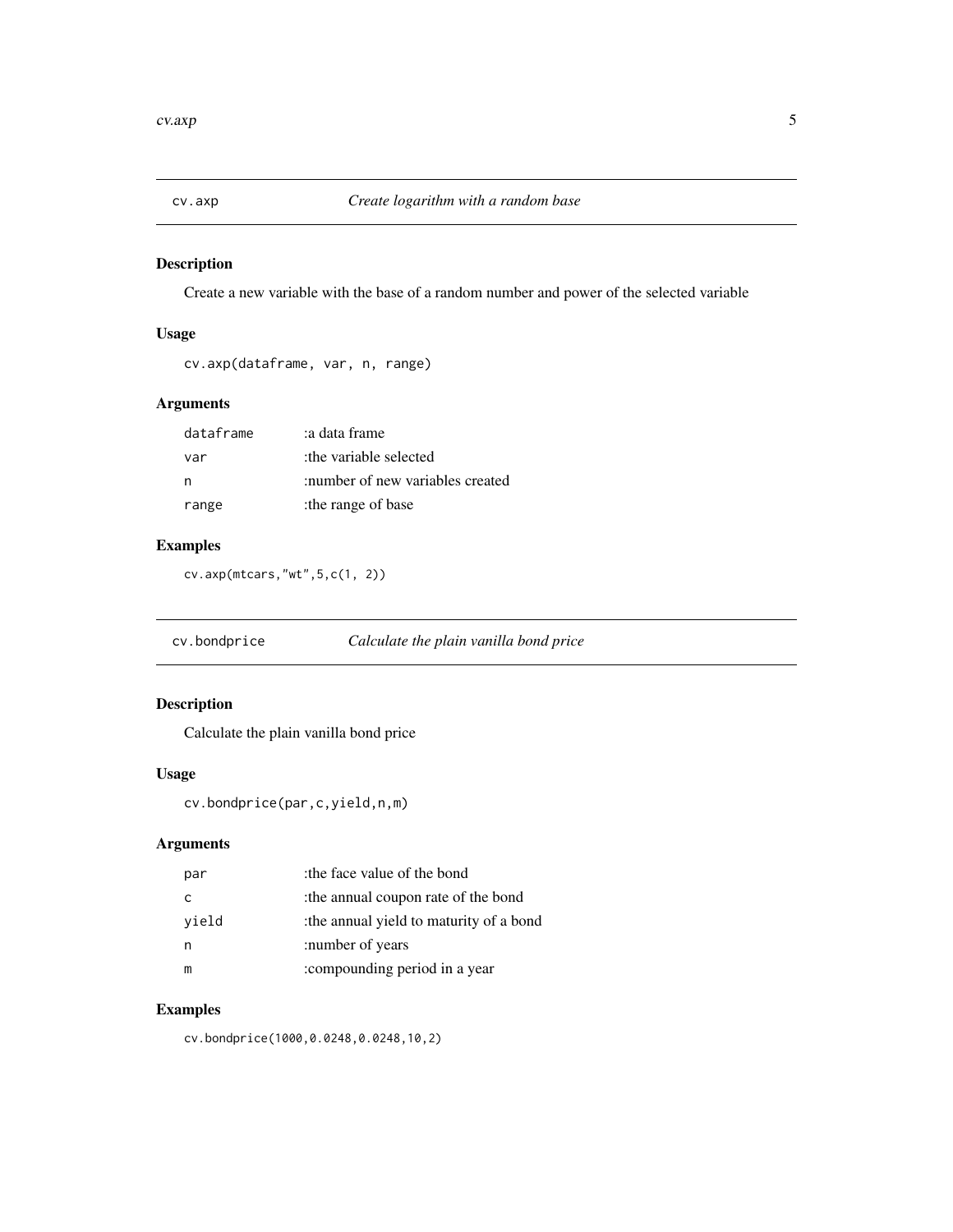<span id="page-4-0"></span>

Create a new variable with the base of a random number and power of the selected variable

# Usage

```
cv.axp(dataframe, var, n, range)
```
# Arguments

| dataframe | a data frame:                    |
|-----------|----------------------------------|
| var       | the variable selected:           |
| n         | :number of new variables created |
| range     | the range of base                |

# Examples

cv.axp(mtcars,"wt",5,c(1, 2))

cv.bondprice *Calculate the plain vanilla bond price*

# Description

Calculate the plain vanilla bond price

# Usage

```
cv.bondprice(par,c,yield,n,m)
```
# Arguments

| par   | :the face value of the bond            |
|-------|----------------------------------------|
| C     | the annual coupon rate of the bond:    |
| vield | the annual yield to maturity of a bond |
|       | :number of years                       |
| m     | :compounding period in a year          |

# Examples

cv.bondprice(1000,0.0248,0.0248,10,2)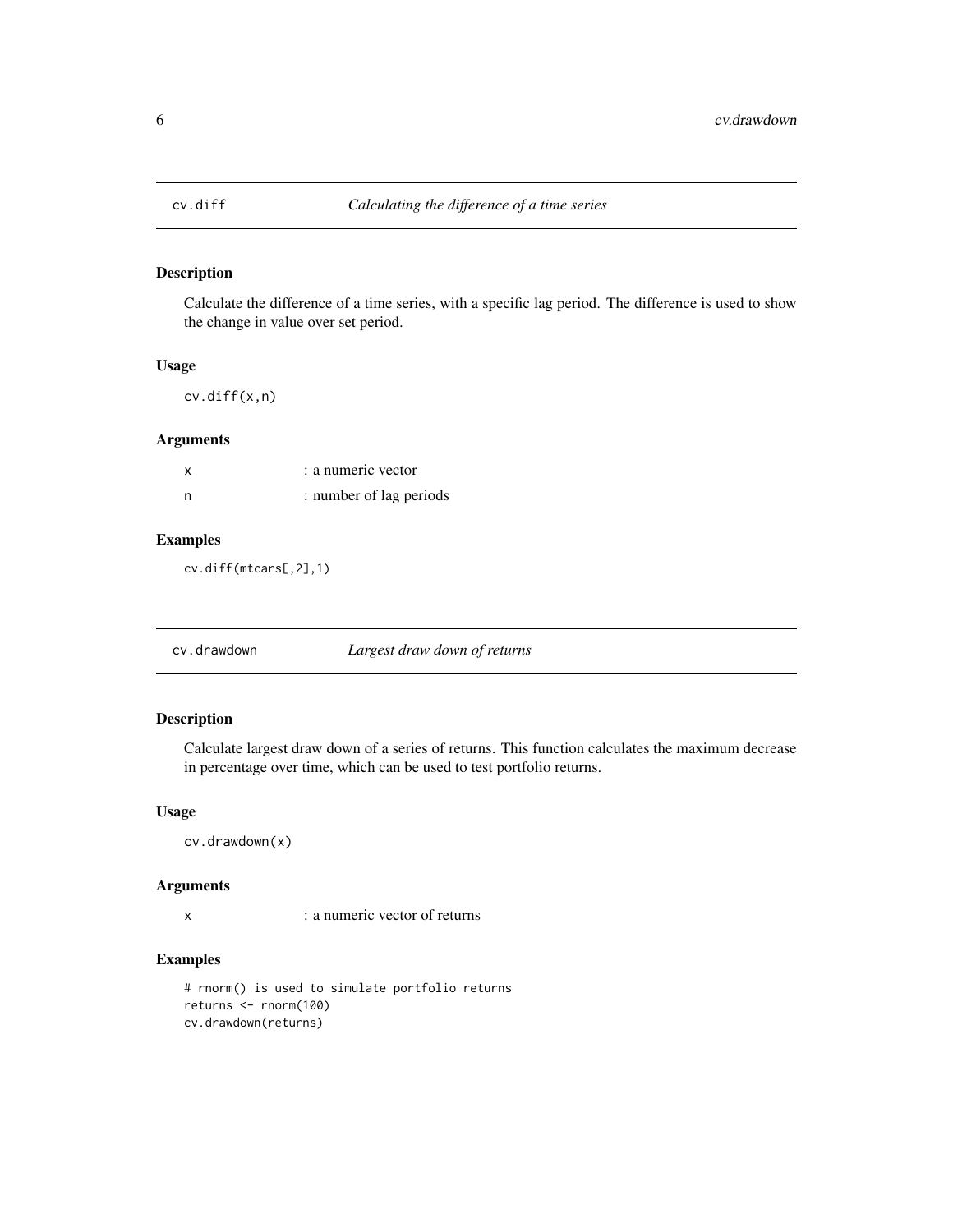<span id="page-5-0"></span>

Calculate the difference of a time series, with a specific lag period. The difference is used to show the change in value over set period.

#### Usage

cv.diff(x,n)

#### Arguments

|   | : a numeric vector      |
|---|-------------------------|
| n | : number of lag periods |

# Examples

cv.diff(mtcars[,2],1)

cv.drawdown *Largest draw down of returns*

# Description

Calculate largest draw down of a series of returns. This function calculates the maximum decrease in percentage over time, which can be used to test portfolio returns.

# Usage

cv.drawdown(x)

#### Arguments

x : a numeric vector of returns

# Examples

# rnorm() is used to simulate portfolio returns returns <- rnorm(100) cv.drawdown(returns)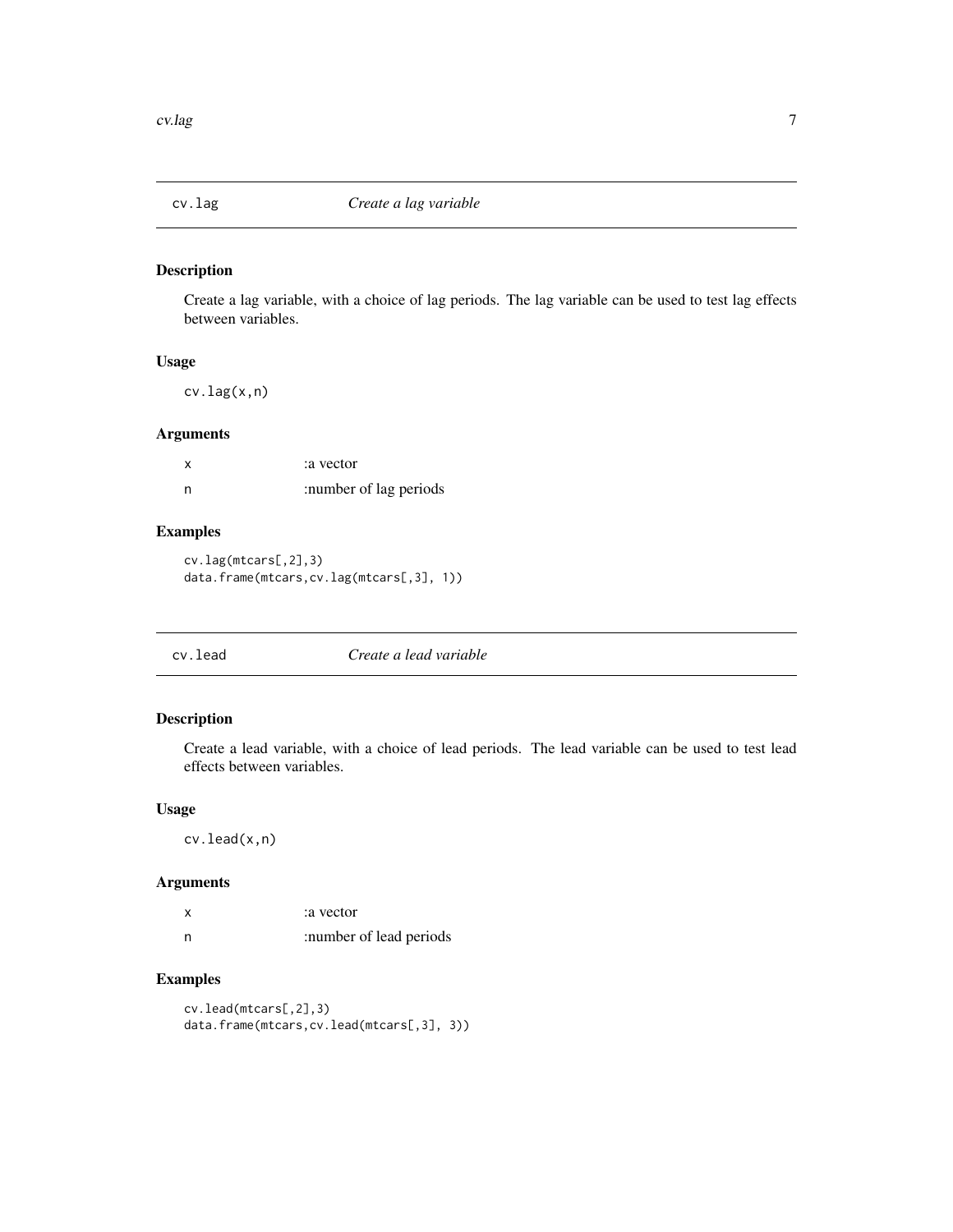<span id="page-6-0"></span>

Create a lag variable, with a choice of lag periods. The lag variable can be used to test lag effects between variables.

#### Usage

cv.lag(x,n)

# Arguments

| x | a vector:              |
|---|------------------------|
| n | :number of lag periods |

# Examples

cv.lag(mtcars[,2],3) data.frame(mtcars,cv.lag(mtcars[,3], 1))

| Create a lead variable<br>cv.lead |
|-----------------------------------|
|-----------------------------------|

# Description

Create a lead variable, with a choice of lead periods. The lead variable can be used to test lead effects between variables.

#### Usage

cv.lead(x,n)

# Arguments

|     | a vector:               |
|-----|-------------------------|
| - n | :number of lead periods |

# Examples

cv.lead(mtcars[,2],3) data.frame(mtcars,cv.lead(mtcars[,3], 3))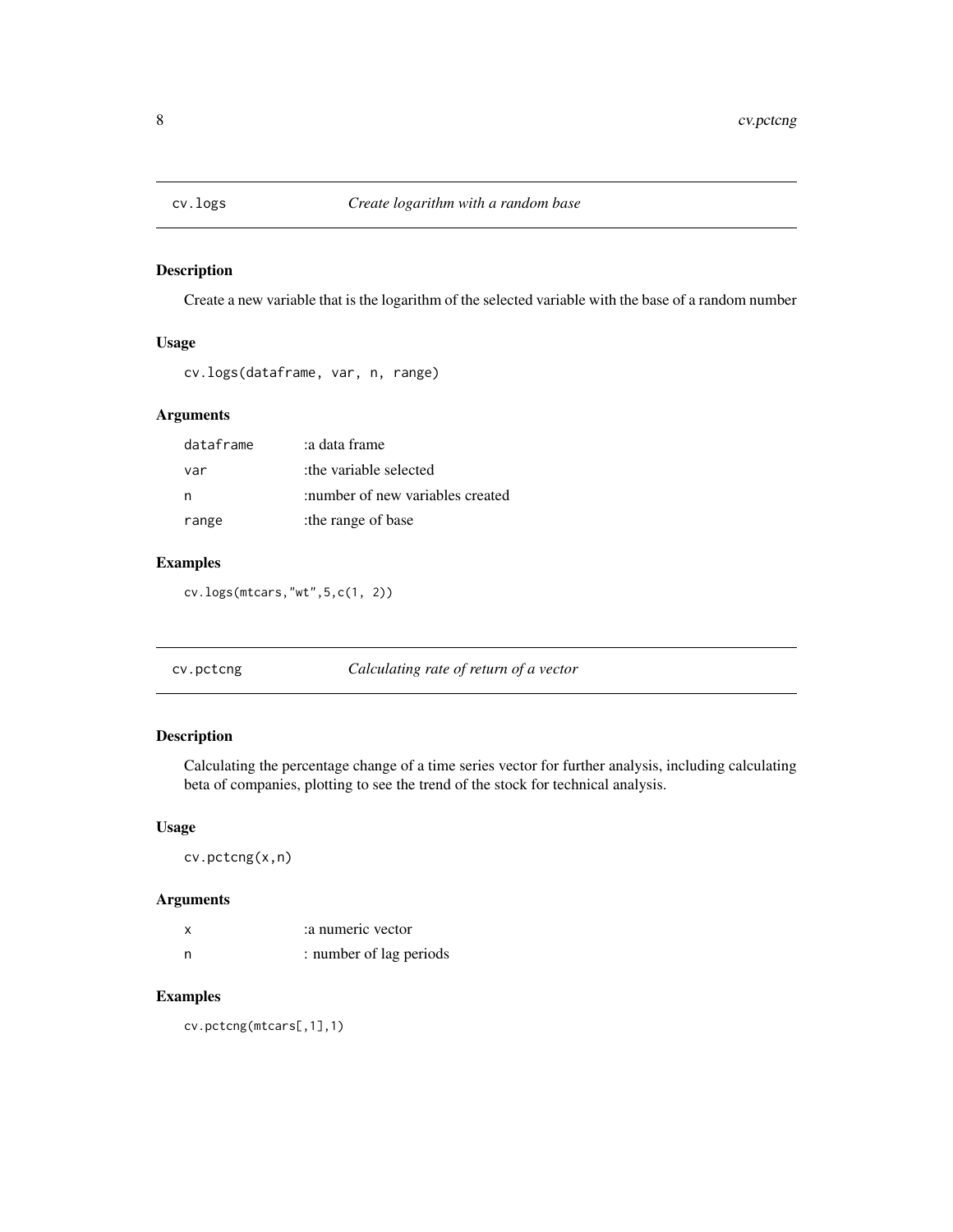<span id="page-7-0"></span>

Create a new variable that is the logarithm of the selected variable with the base of a random number

# Usage

cv.logs(dataframe, var, n, range)

# Arguments

| dataframe | a data frame:                    |
|-----------|----------------------------------|
| var       | the variable selected:           |
| n         | :number of new variables created |
| range     | the range of base                |

# Examples

cv.logs(mtcars,"wt",5,c(1, 2))

| Calculating rate of return of a vector<br>cv.pctcng |  |
|-----------------------------------------------------|--|
|-----------------------------------------------------|--|

# Description

Calculating the percentage change of a time series vector for further analysis, including calculating beta of companies, plotting to see the trend of the stock for technical analysis.

# Usage

cv.pctcng(x,n)

# Arguments

| x | a numeric vector        |
|---|-------------------------|
| n | : number of lag periods |

# Examples

cv.pctcng(mtcars[,1],1)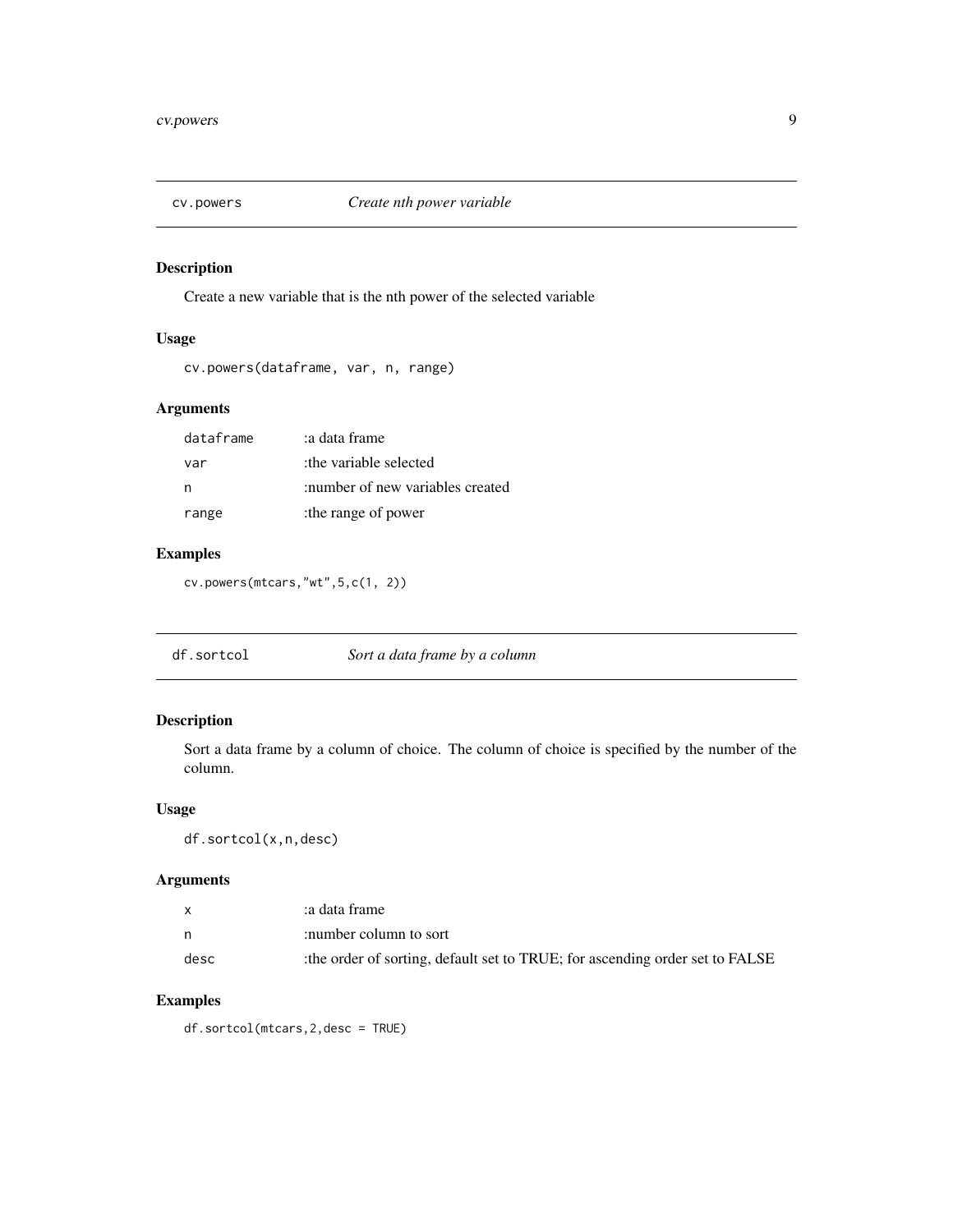<span id="page-8-0"></span>

Create a new variable that is the nth power of the selected variable

# Usage

cv.powers(dataframe, var, n, range)

# Arguments

| dataframe | a data frame:                    |
|-----------|----------------------------------|
| var       | the variable selected:           |
| n         | :number of new variables created |
| range     | :the range of power              |

# Examples

cv.powers(mtcars,"wt",5,c(1, 2))

df.sortcol *Sort a data frame by a column*

#### Description

Sort a data frame by a column of choice. The column of choice is specified by the number of the column.

#### Usage

df.sortcol(x,n,desc)

# Arguments

| X    | a data frame:                                                               |
|------|-----------------------------------------------------------------------------|
| n    | :number column to sort                                                      |
| desc | the order of sorting, default set to TRUE; for ascending order set to FALSE |

# Examples

df.sortcol(mtcars,2,desc = TRUE)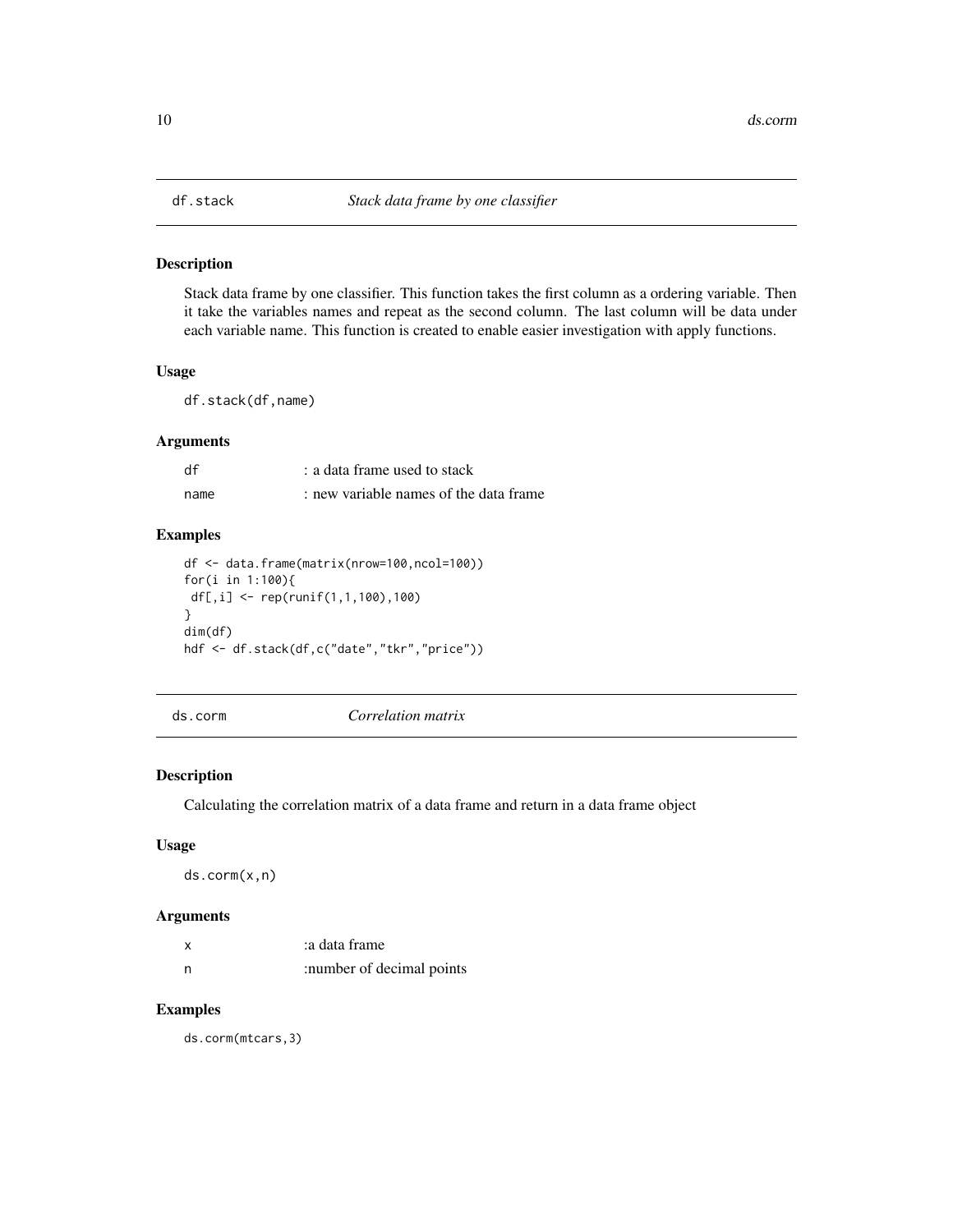<span id="page-9-0"></span>

Stack data frame by one classifier. This function takes the first column as a ordering variable. Then it take the variables names and repeat as the second column. The last column will be data under each variable name. This function is created to enable easier investigation with apply functions.

#### Usage

df.stack(df,name)

#### Arguments

| df   | : a data frame used to stack           |
|------|----------------------------------------|
| name | : new variable names of the data frame |

# Examples

```
df <- data.frame(matrix(nrow=100,ncol=100))
for(i in 1:100){
 df[,i] <- rep(runif(1,1,100),100)
}
dim(df)
hdf <- df.stack(df,c("date","tkr","price"))
```
ds.corm *Correlation matrix*

#### Description

Calculating the correlation matrix of a data frame and return in a data frame object

# Usage

ds.corm(x,n)

# Arguments

| x   | a data frame:             |
|-----|---------------------------|
| - n | :number of decimal points |

# Examples

ds.corm(mtcars,3)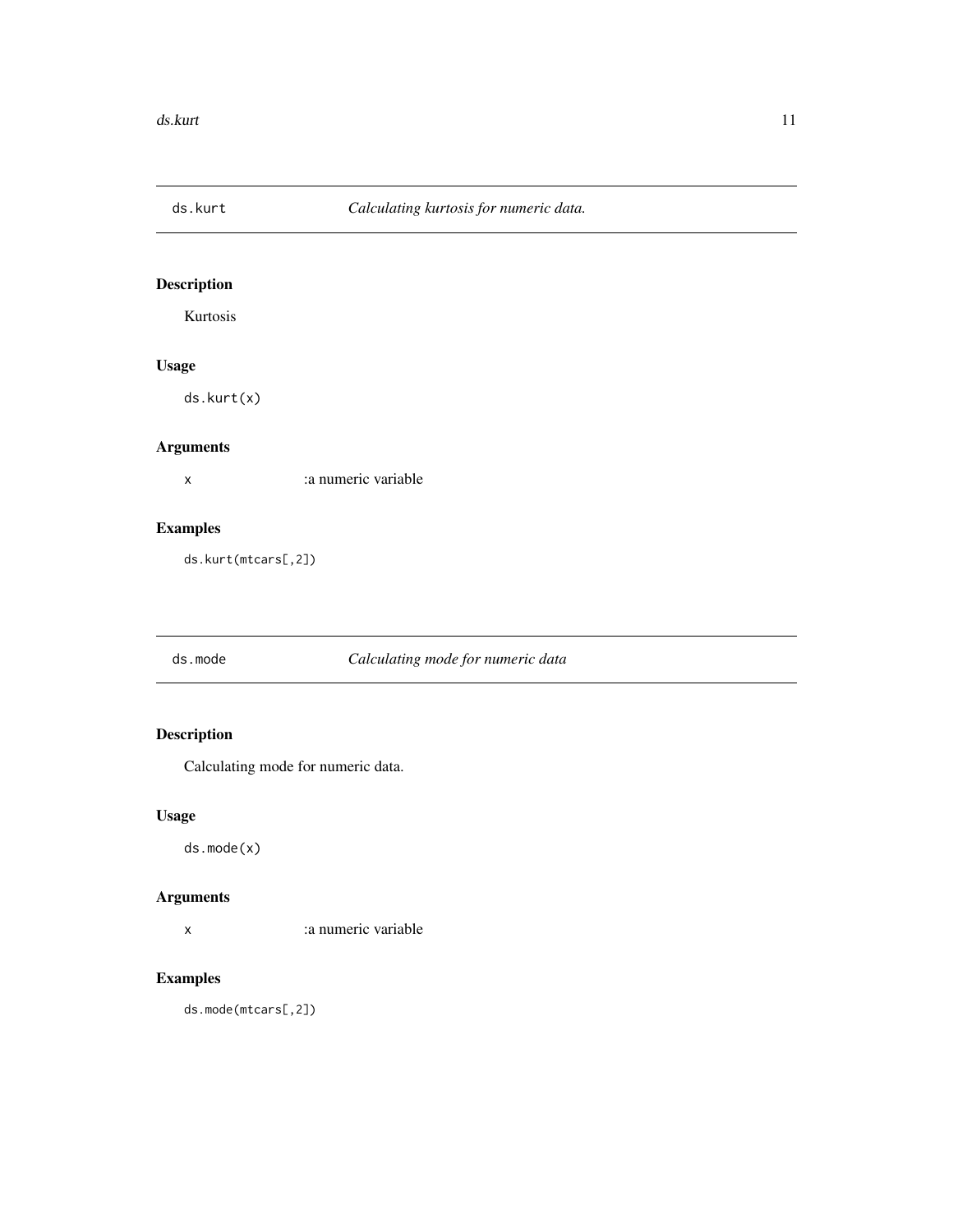<span id="page-10-0"></span>

Kurtosis

# Usage

ds.kurt(x)

# Arguments

x :a numeric variable

# Examples

ds.kurt(mtcars[,2])

# ds.mode *Calculating mode for numeric data*

# Description

Calculating mode for numeric data.

# Usage

ds.mode(x)

# Arguments

x :a numeric variable

# Examples

ds.mode(mtcars[,2])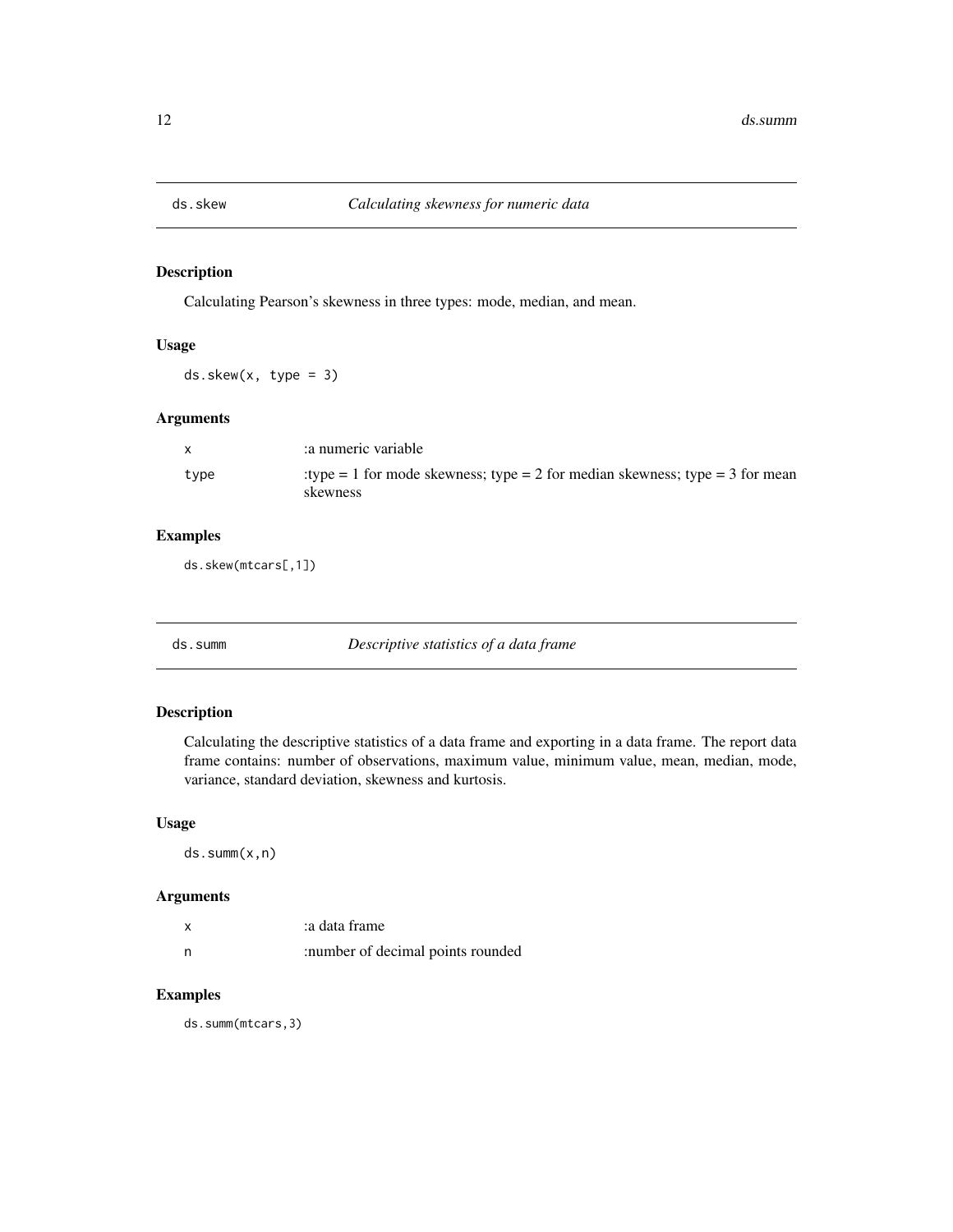<span id="page-11-0"></span>

Calculating Pearson's skewness in three types: mode, median, and mean.

#### Usage

ds.skew(x, type = 3)

# Arguments

| X    | a numeric variable                                                                       |
|------|------------------------------------------------------------------------------------------|
| type | :type = 1 for mode skewness; type = 2 for median skewness; type = 3 for mean<br>skewness |

# Examples

ds.skew(mtcars[,1])

ds.summ *Descriptive statistics of a data frame*

#### Description

Calculating the descriptive statistics of a data frame and exporting in a data frame. The report data frame contains: number of observations, maximum value, minimum value, mean, median, mode, variance, standard deviation, skewness and kurtosis.

#### Usage

ds.summ(x,n)

# Arguments

|   | a data frame:                     |
|---|-----------------------------------|
| n | :number of decimal points rounded |

#### Examples

ds.summ(mtcars,3)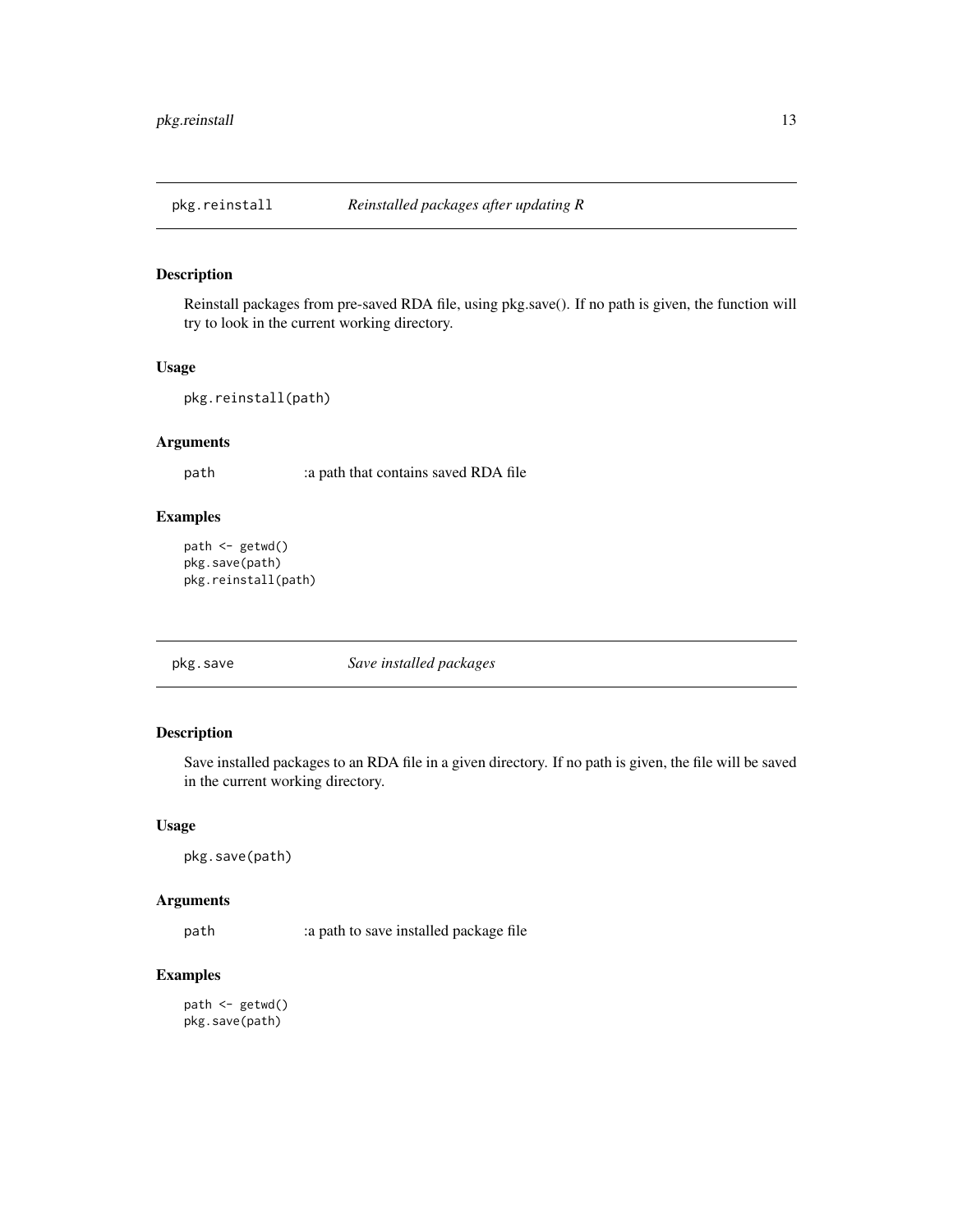<span id="page-12-0"></span>

Reinstall packages from pre-saved RDA file, using pkg.save(). If no path is given, the function will try to look in the current working directory.

# Usage

```
pkg.reinstall(path)
```
#### Arguments

path :a path that contains saved RDA file

#### Examples

```
path <- getwd()
pkg.save(path)
pkg.reinstall(path)
```
pkg.save *Save installed packages*

# Description

Save installed packages to an RDA file in a given directory. If no path is given, the file will be saved in the current working directory.

#### Usage

```
pkg.save(path)
```
# Arguments

path :a path to save installed package file

# Examples

```
path <- getwd()
pkg.save(path)
```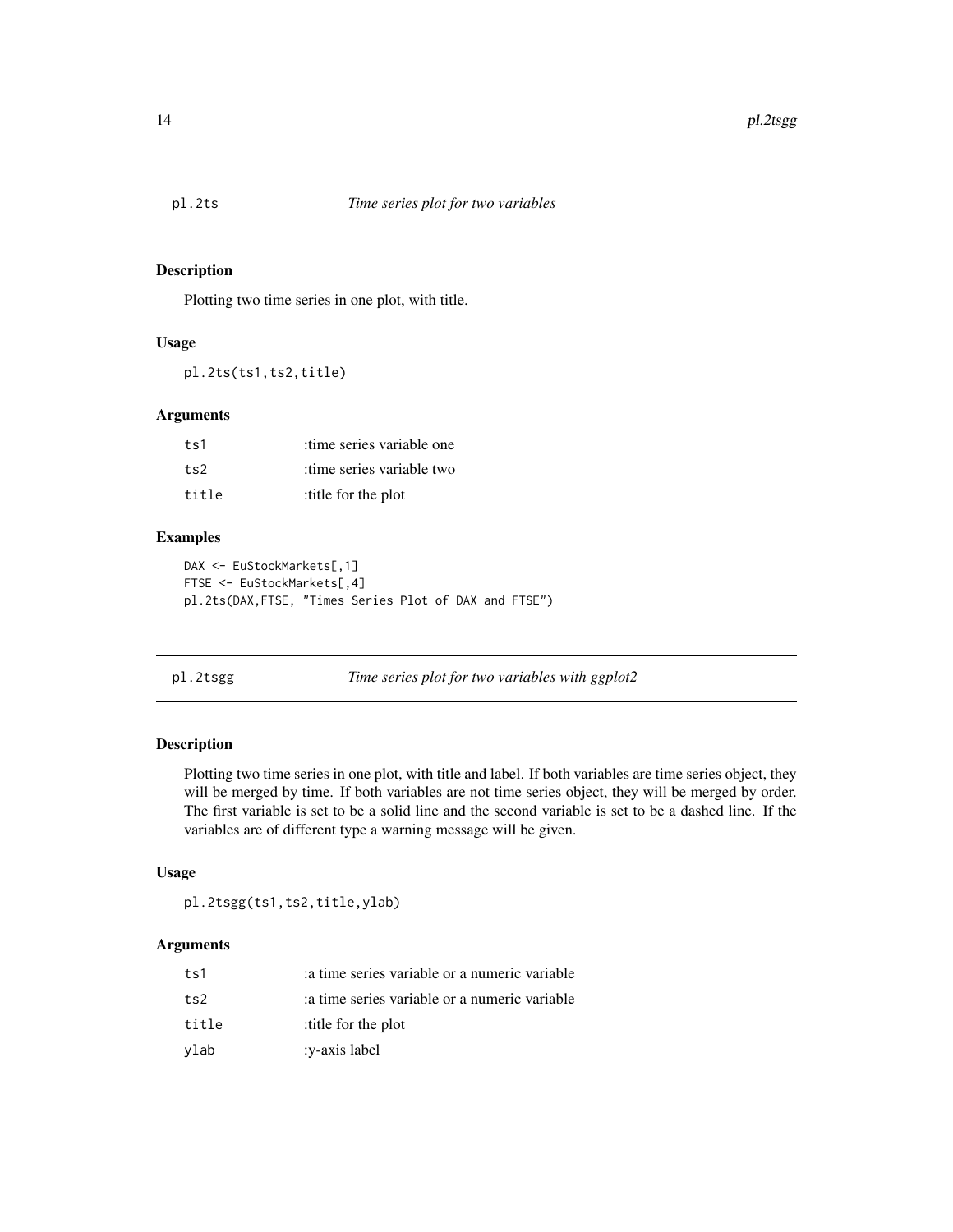<span id="page-13-0"></span>

Plotting two time series in one plot, with title.

# Usage

pl.2ts(ts1,ts2,title)

#### Arguments

| ts1   | time series variable one  |
|-------|---------------------------|
| ts2   | time series variable two: |
| title | title for the plot:       |

#### Examples

```
DAX <- EuStockMarkets[,1]
FTSE <- EuStockMarkets[,4]
pl.2ts(DAX,FTSE, "Times Series Plot of DAX and FTSE")
```
pl.2tsgg *Time series plot for two variables with ggplot2*

# Description

Plotting two time series in one plot, with title and label. If both variables are time series object, they will be merged by time. If both variables are not time series object, they will be merged by order. The first variable is set to be a solid line and the second variable is set to be a dashed line. If the variables are of different type a warning message will be given.

#### Usage

pl.2tsgg(ts1,ts2,title,ylab)

| ts1   | a time series variable or a numeric variable |
|-------|----------------------------------------------|
| ts2   | a time series variable or a numeric variable |
| title | title for the plot:                          |
| vlab  | :v-axis label                                |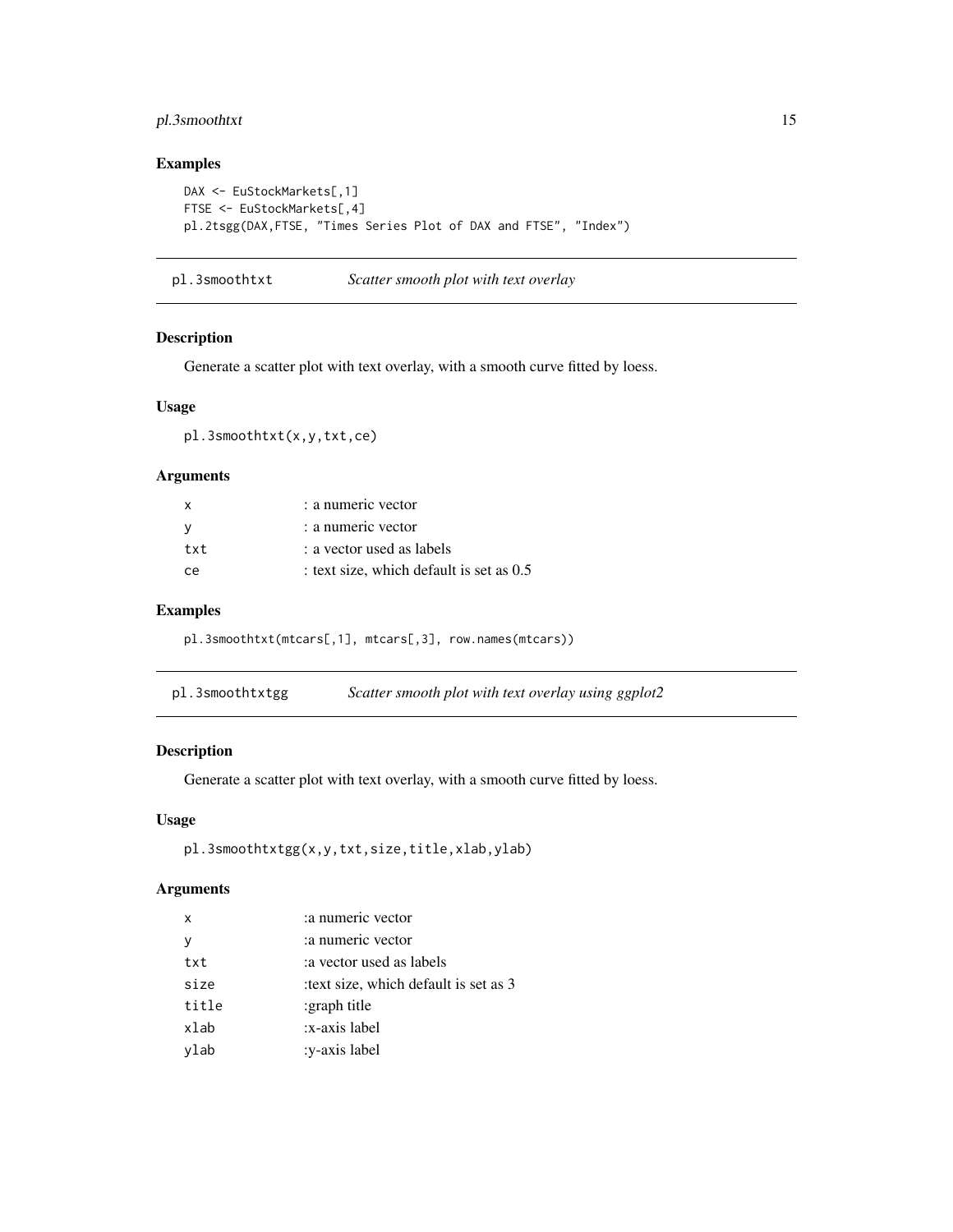# <span id="page-14-0"></span>pl.3smoothtxt 15

# Examples

```
DAX <- EuStockMarkets[,1]
FTSE <- EuStockMarkets[,4]
pl.2tsgg(DAX,FTSE, "Times Series Plot of DAX and FTSE", "Index")
```
pl.3smoothtxt *Scatter smooth plot with text overlay*

# Description

Generate a scatter plot with text overlay, with a smooth curve fitted by loess.

# Usage

pl.3smoothtxt(x,y,txt,ce)

# Arguments

| X             | : a numeric vector                         |
|---------------|--------------------------------------------|
| - V           | : a numeric vector                         |
| txt           | : a vector used as labels                  |
| <sub>ce</sub> | : text size, which default is set as $0.5$ |

#### Examples

pl.3smoothtxt(mtcars[,1], mtcars[,3], row.names(mtcars))

| pl.3smoothtxtgg | Scatter smooth plot with text overlay using ggplot2 |
|-----------------|-----------------------------------------------------|
|-----------------|-----------------------------------------------------|

#### Description

Generate a scatter plot with text overlay, with a smooth curve fitted by loess.

#### Usage

```
pl.3smoothtxtgg(x,y,txt,size,title,xlab,ylab)
```

| $\boldsymbol{\mathsf{x}}$ | :a numeric vector                    |
|---------------------------|--------------------------------------|
| <b>V</b>                  | : a numeric vector                   |
| txt                       | a vector used as labels              |
| size                      | text size, which default is set as 3 |
| title                     | :graph title                         |
| xlab                      | :x-axis label                        |
| ylab                      | :y-axis label                        |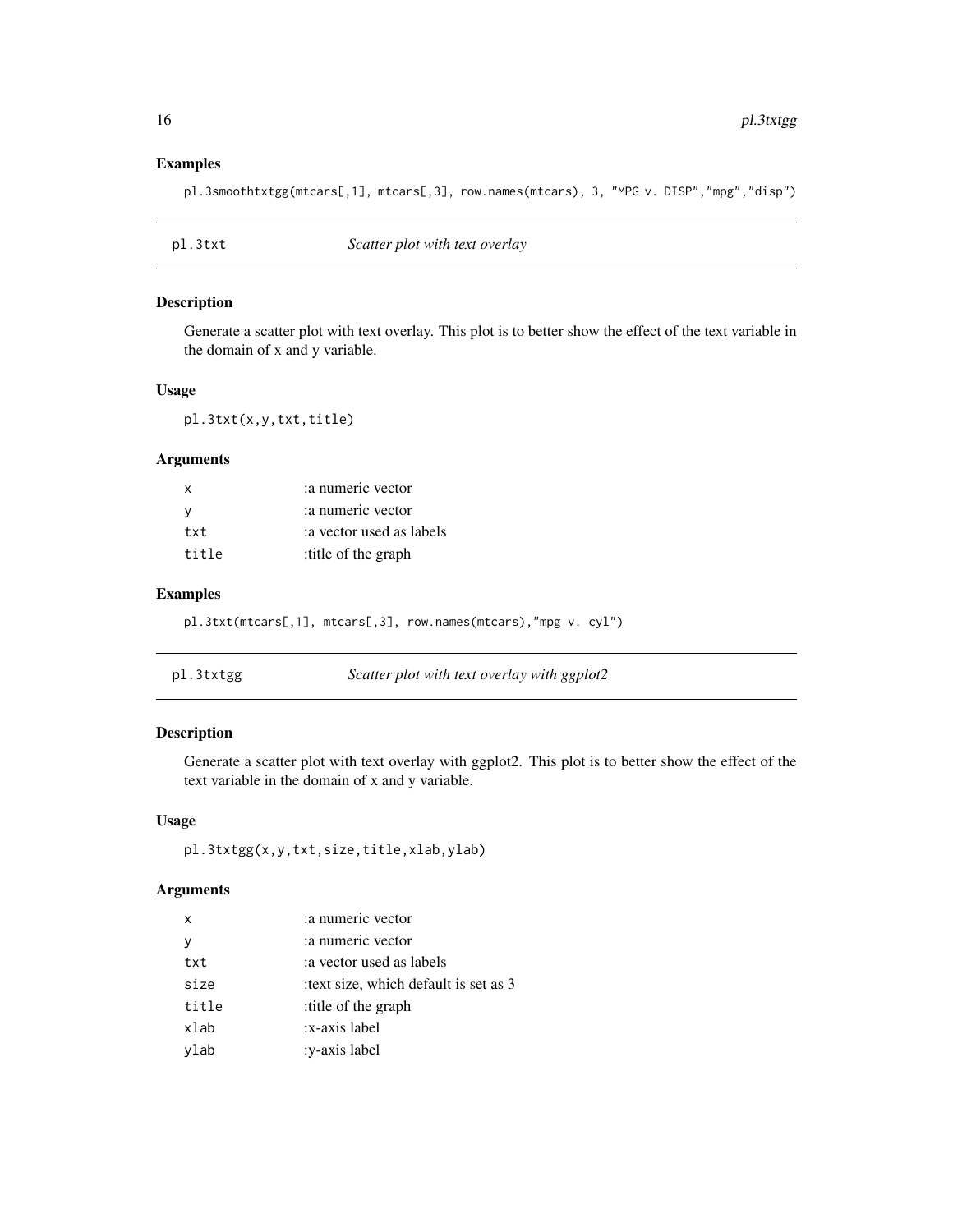# Examples

pl.3smoothtxtgg(mtcars[,1], mtcars[,3], row.names(mtcars), 3, "MPG v. DISP","mpg","disp")

| pl.3txt | Scatter plot with text overlay |  |
|---------|--------------------------------|--|
|---------|--------------------------------|--|

#### Description

Generate a scatter plot with text overlay. This plot is to better show the effect of the text variable in the domain of x and y variable.

#### Usage

pl.3txt(x,y,txt,title)

#### Arguments

| X     | :a numeric vector       |
|-------|-------------------------|
| -V    | :a numeric vector       |
| txt   | a vector used as labels |
| title | :title of the graph     |

# Examples

```
pl.3txt(mtcars[,1], mtcars[,3], row.names(mtcars),"mpg v. cyl")
```

| pl.3txtgg | Scatter plot with text overlay with ggplot2 |
|-----------|---------------------------------------------|
|-----------|---------------------------------------------|

# Description

Generate a scatter plot with text overlay with ggplot2. This plot is to better show the effect of the text variable in the domain of x and y variable.

# Usage

```
pl.3txtgg(x,y,txt,size,title,xlab,ylab)
```

| X     | :a numeric vector                    |
|-------|--------------------------------------|
| y     | : a numeric vector                   |
| txt   | a vector used as labels              |
| size  | text size, which default is set as 3 |
| title | title of the graph:                  |
| xlab  | x-axis label:                        |
| ylab  | :y-axis label                        |

<span id="page-15-0"></span>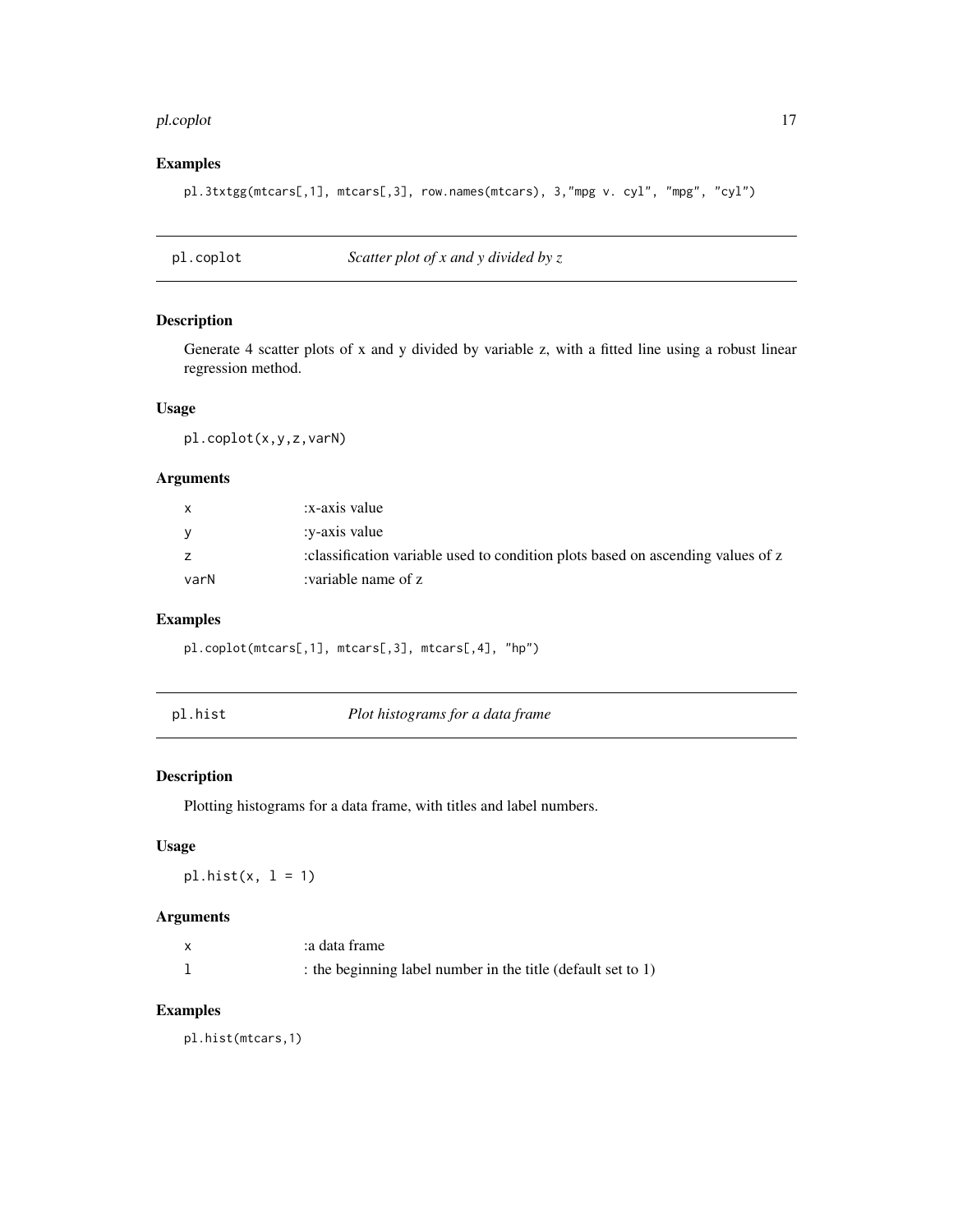#### <span id="page-16-0"></span>pl.coplot the contract of the contract of the contract of the contract of the contract of the contract of the contract of the contract of the contract of the contract of the contract of the contract of the contract of the

# Examples

pl.3txtgg(mtcars[,1], mtcars[,3], row.names(mtcars), 3,"mpg v. cyl", "mpg", "cyl")

pl.coplot *Scatter plot of x and y divided by z*

#### Description

Generate 4 scatter plots of x and y divided by variable z, with a fitted line using a robust linear regression method.

# Usage

pl.coplot(x,y,z,varN)

# Arguments

| $\mathsf{x}$ | x-axis value                                                                   |
|--------------|--------------------------------------------------------------------------------|
| <b>V</b>     | :v-axis value                                                                  |
| z            | classification variable used to condition plots based on ascending values of z |
| varN         | :variable name of z                                                            |

# Examples

pl.coplot(mtcars[,1], mtcars[,3], mtcars[,4], "hp")

pl.hist *Plot histograms for a data frame*

#### Description

Plotting histograms for a data frame, with titles and label numbers.

# Usage

pl.hist $(x, 1 = 1)$ 

#### Arguments

| a data frame:                                                |
|--------------------------------------------------------------|
| : the beginning label number in the title (default set to 1) |

# Examples

pl.hist(mtcars,1)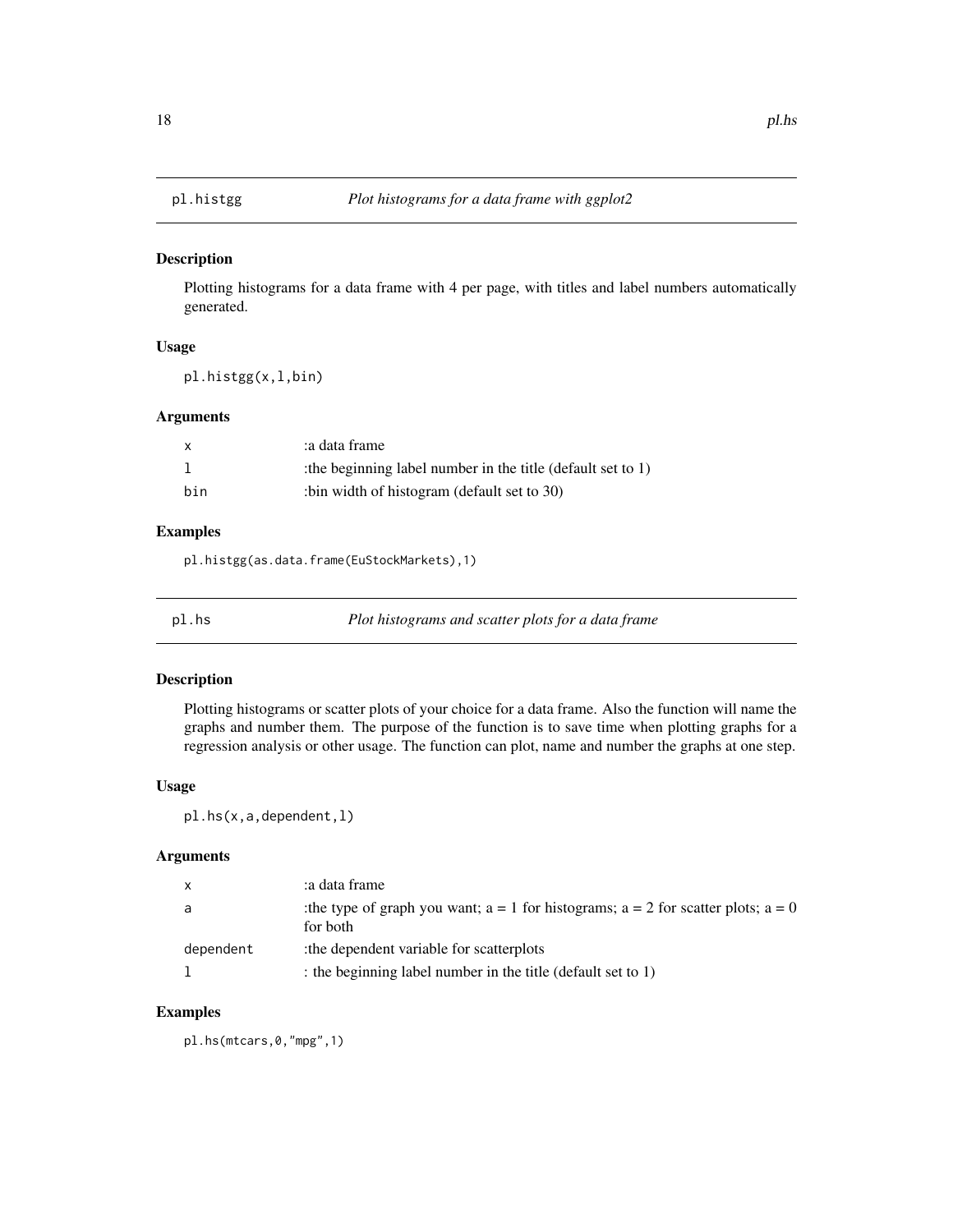<span id="page-17-0"></span>

Plotting histograms for a data frame with 4 per page, with titles and label numbers automatically generated.

#### Usage

pl.histgg(x,l,bin)

#### Arguments

| $\mathsf{x}$ | a data frame:                                                |
|--------------|--------------------------------------------------------------|
|              | : the beginning label number in the title (default set to 1) |
| bin          | :bin width of histogram (default set to 30)                  |

# Examples

pl.histgg(as.data.frame(EuStockMarkets),1)

pl.hs *Plot histograms and scatter plots for a data frame*

#### Description

Plotting histograms or scatter plots of your choice for a data frame. Also the function will name the graphs and number them. The purpose of the function is to save time when plotting graphs for a regression analysis or other usage. The function can plot, name and number the graphs at one step.

#### Usage

pl.hs(x,a,dependent,l)

# Arguments

| $\mathsf{x}$ | a data frame:                                                                                        |
|--------------|------------------------------------------------------------------------------------------------------|
| a            | : the type of graph you want; $a = 1$ for histograms; $a = 2$ for scatter plots; $a = 0$<br>for both |
| dependent    | the dependent variable for scatterplots:                                                             |
|              | the beginning label number in the title (default set to 1)                                           |

# Examples

pl.hs(mtcars,0,"mpg",1)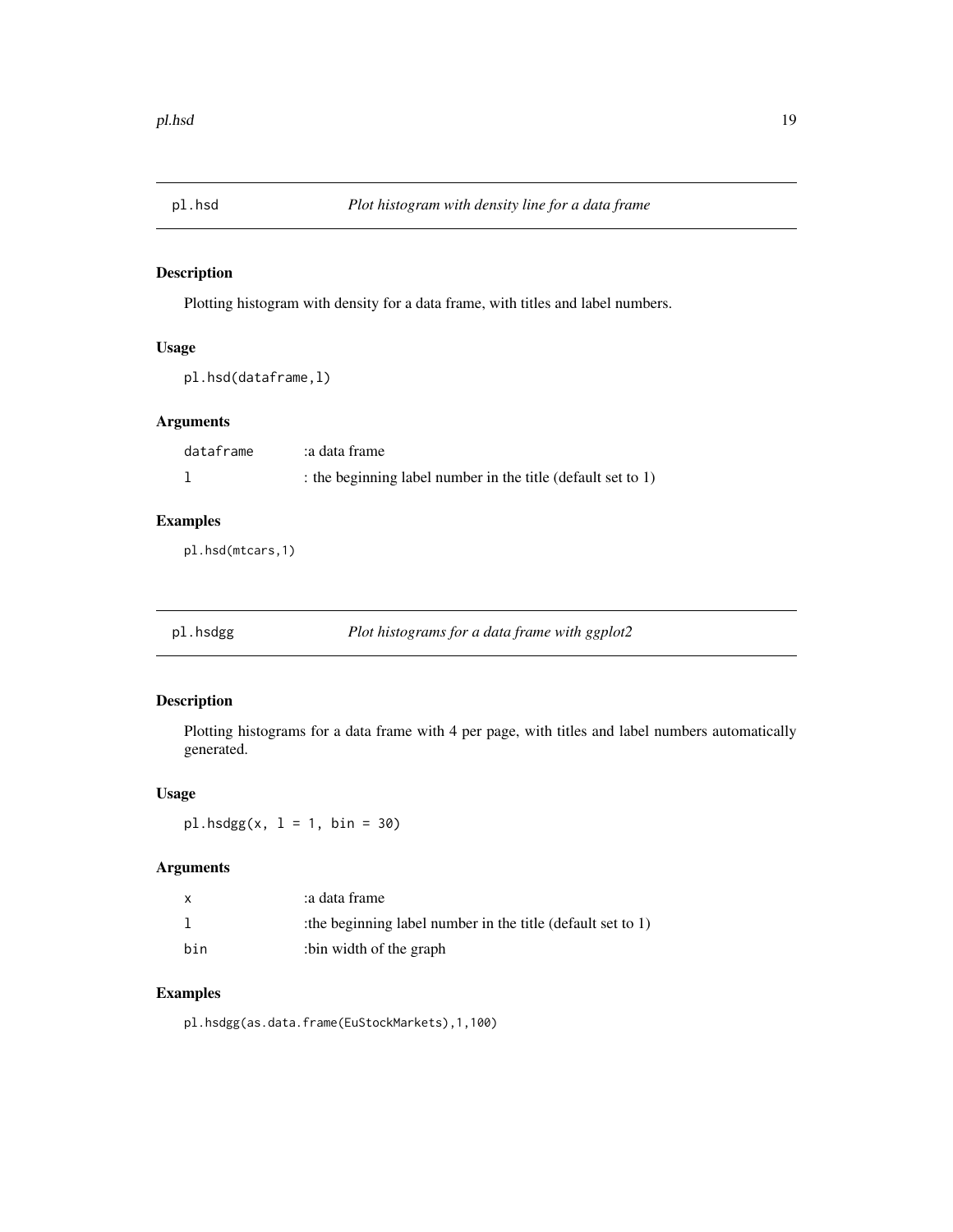<span id="page-18-0"></span>

Plotting histogram with density for a data frame, with titles and label numbers.

# Usage

pl.hsd(dataframe,l)

# Arguments

| dataframe | a data frame:                                                |
|-----------|--------------------------------------------------------------|
|           | : the beginning label number in the title (default set to 1) |

# Examples

pl.hsd(mtcars,1)

pl.hsdgg *Plot histograms for a data frame with ggplot2*

# Description

Plotting histograms for a data frame with 4 per page, with titles and label numbers automatically generated.

#### Usage

 $p1.$ hsdgg $(x, 1 = 1, bin = 30)$ 

# Arguments

|     | a data frame:                                              |
|-----|------------------------------------------------------------|
|     | the beginning label number in the title (default set to 1) |
| bin | bin width of the graph:                                    |

# Examples

pl.hsdgg(as.data.frame(EuStockMarkets),1,100)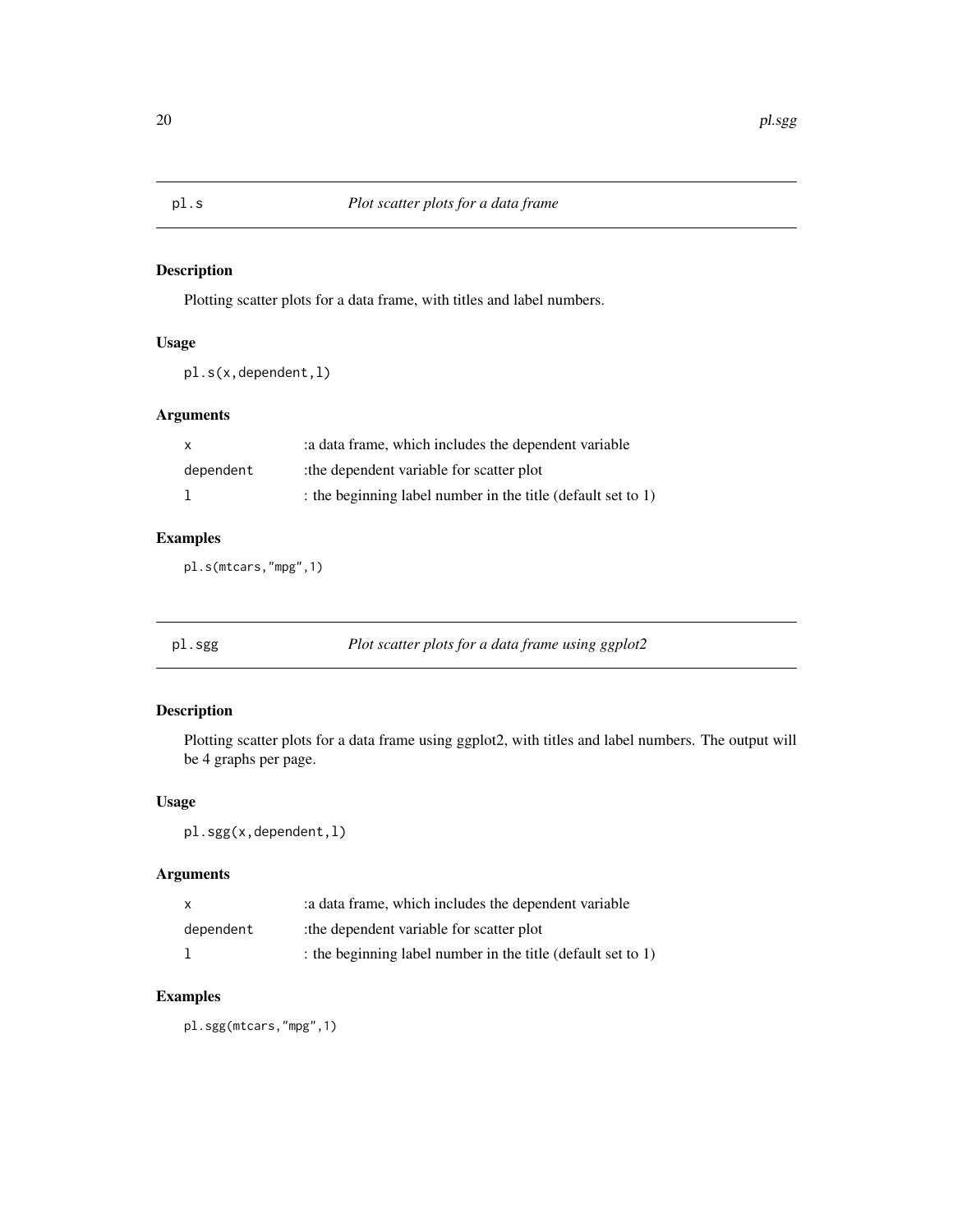Plotting scatter plots for a data frame, with titles and label numbers.

# Usage

pl.s(x,dependent,l)

# Arguments

| X         | : a data frame, which includes the dependent variable        |
|-----------|--------------------------------------------------------------|
| dependent | the dependent variable for scatter plot:                     |
|           | : the beginning label number in the title (default set to 1) |

# Examples

pl.s(mtcars,"mpg",1)

pl.sgg *Plot scatter plots for a data frame using ggplot2*

# Description

Plotting scatter plots for a data frame using ggplot2, with titles and label numbers. The output will be 4 graphs per page.

# Usage

pl.sgg(x,dependent,l)

# Arguments

| $\mathsf{x}$ | a data frame, which includes the dependent variable          |
|--------------|--------------------------------------------------------------|
| dependent    | the dependent variable for scatter plot                      |
|              | : the beginning label number in the title (default set to 1) |

# Examples

pl.sgg(mtcars,"mpg",1)

<span id="page-19-0"></span>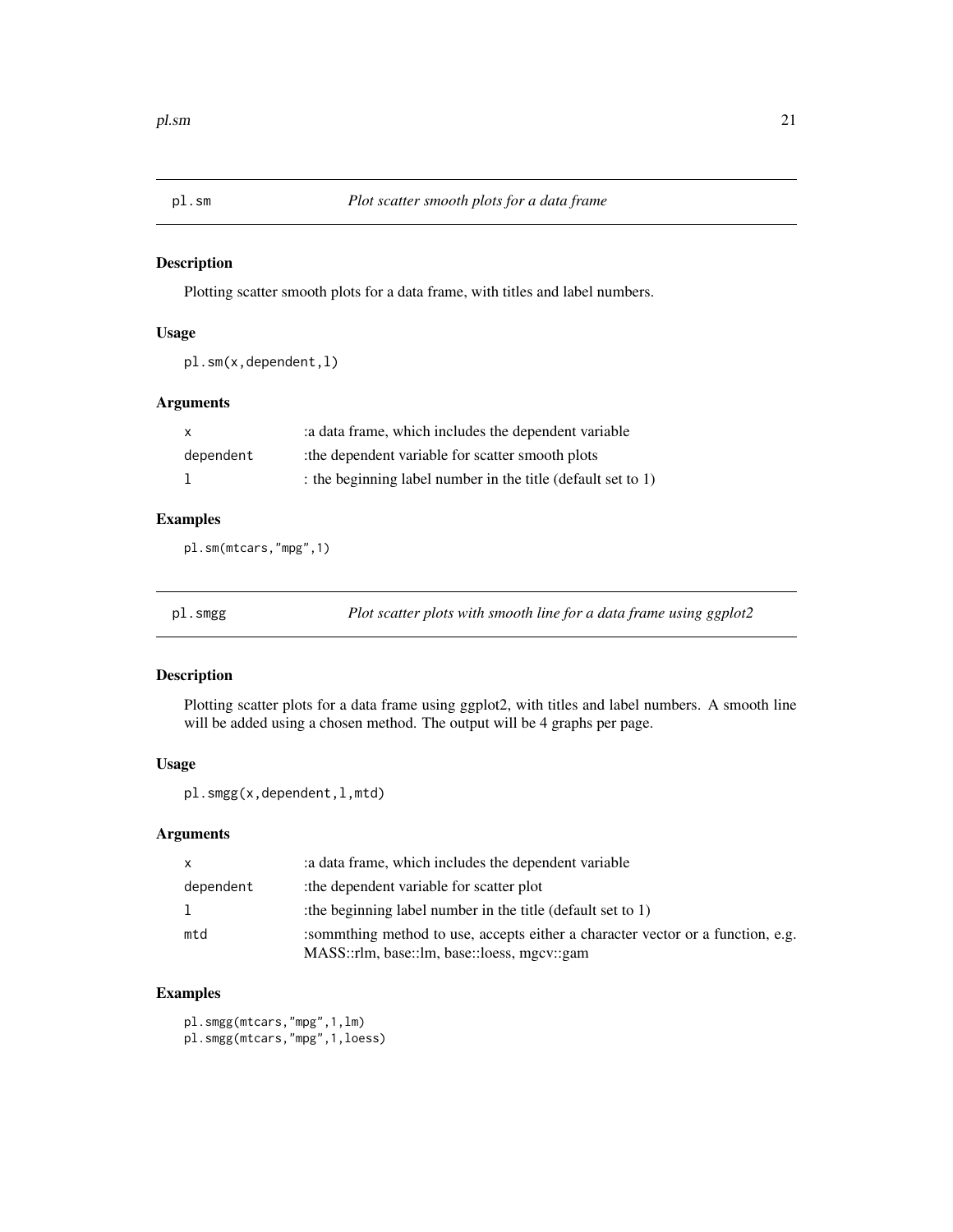<span id="page-20-0"></span>

Plotting scatter smooth plots for a data frame, with titles and label numbers.

# Usage

pl.sm(x,dependent,l)

# Arguments

| $\mathsf{X}$ | : a data frame, which includes the dependent variable      |
|--------------|------------------------------------------------------------|
| dependent    | the dependent variable for scatter smooth plots:           |
|              | the beginning label number in the title (default set to 1) |

# Examples

pl.sm(mtcars,"mpg",1)

pl.smgg *Plot scatter plots with smooth line for a data frame using ggplot2*

# Description

Plotting scatter plots for a data frame using ggplot2, with titles and label numbers. A smooth line will be added using a chosen method. The output will be 4 graphs per page.

# Usage

pl.smgg(x,dependent,l,mtd)

# Arguments

| $\mathsf{x}$ | a data frame, which includes the dependent variable                                                                           |
|--------------|-------------------------------------------------------------------------------------------------------------------------------|
| dependent    | the dependent variable for scatter plot                                                                                       |
| $\mathbf{1}$ | the beginning label number in the title (default set to 1)                                                                    |
| mtd          | sommthing method to use, accepts either a character vector or a function, e.g.<br>MASS::rlm, base::lm, base::loess, mgcv::gam |

# Examples

pl.smgg(mtcars,"mpg",1,lm) pl.smgg(mtcars,"mpg",1,loess)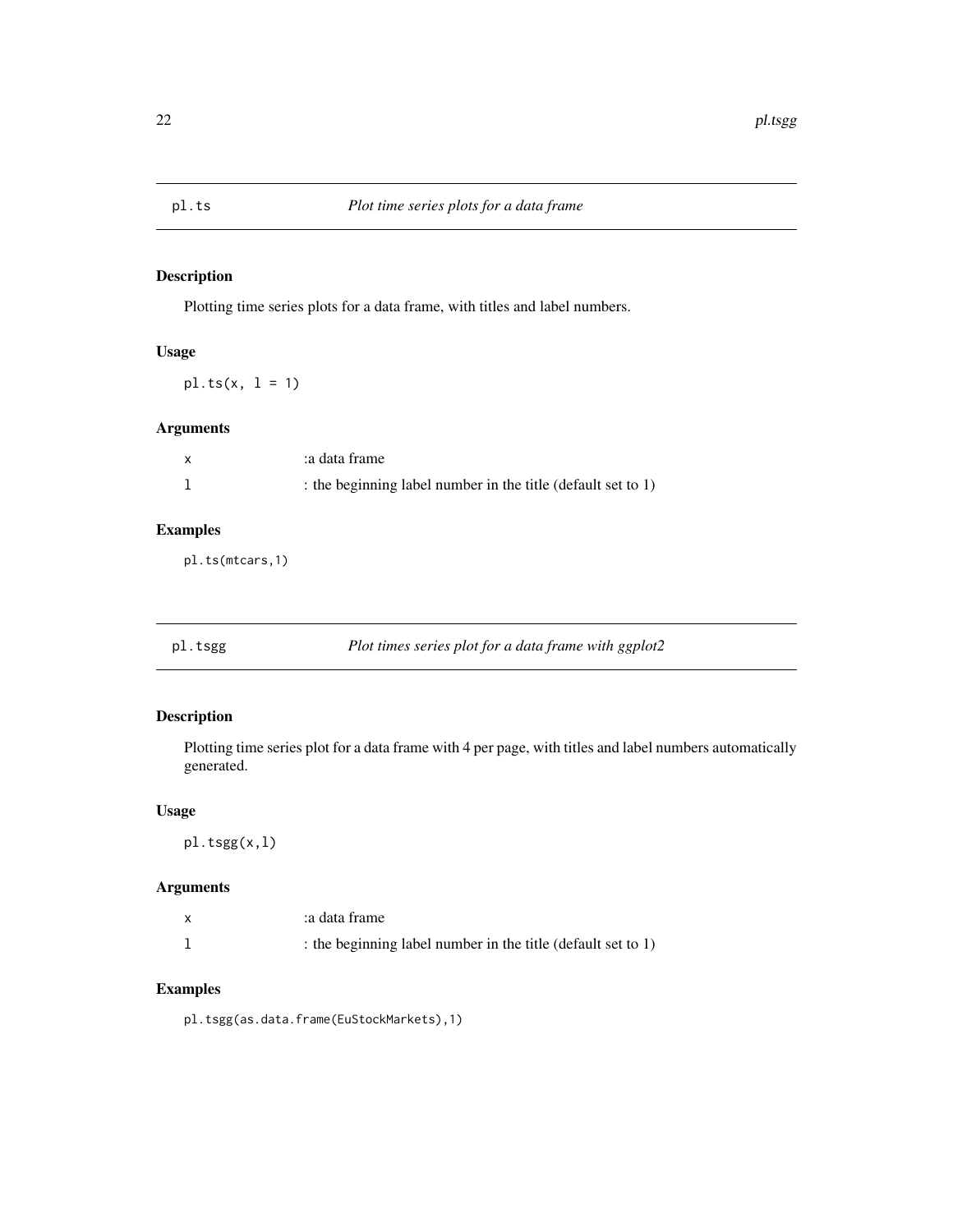<span id="page-21-0"></span>

Plotting time series plots for a data frame, with titles and label numbers.

# Usage

 $pl.ts(x, 1 = 1)$ 

# Arguments

| a data frame:                                                |
|--------------------------------------------------------------|
| : the beginning label number in the title (default set to 1) |

# Examples

pl.ts(mtcars,1)

# pl.tsgg *Plot times series plot for a data frame with ggplot2*

# Description

Plotting time series plot for a data frame with 4 per page, with titles and label numbers automatically generated.

#### Usage

pl.tsgg(x,l)

# Arguments

| x | a data frame:                                                |
|---|--------------------------------------------------------------|
|   | : the beginning label number in the title (default set to 1) |

# Examples

pl.tsgg(as.data.frame(EuStockMarkets),1)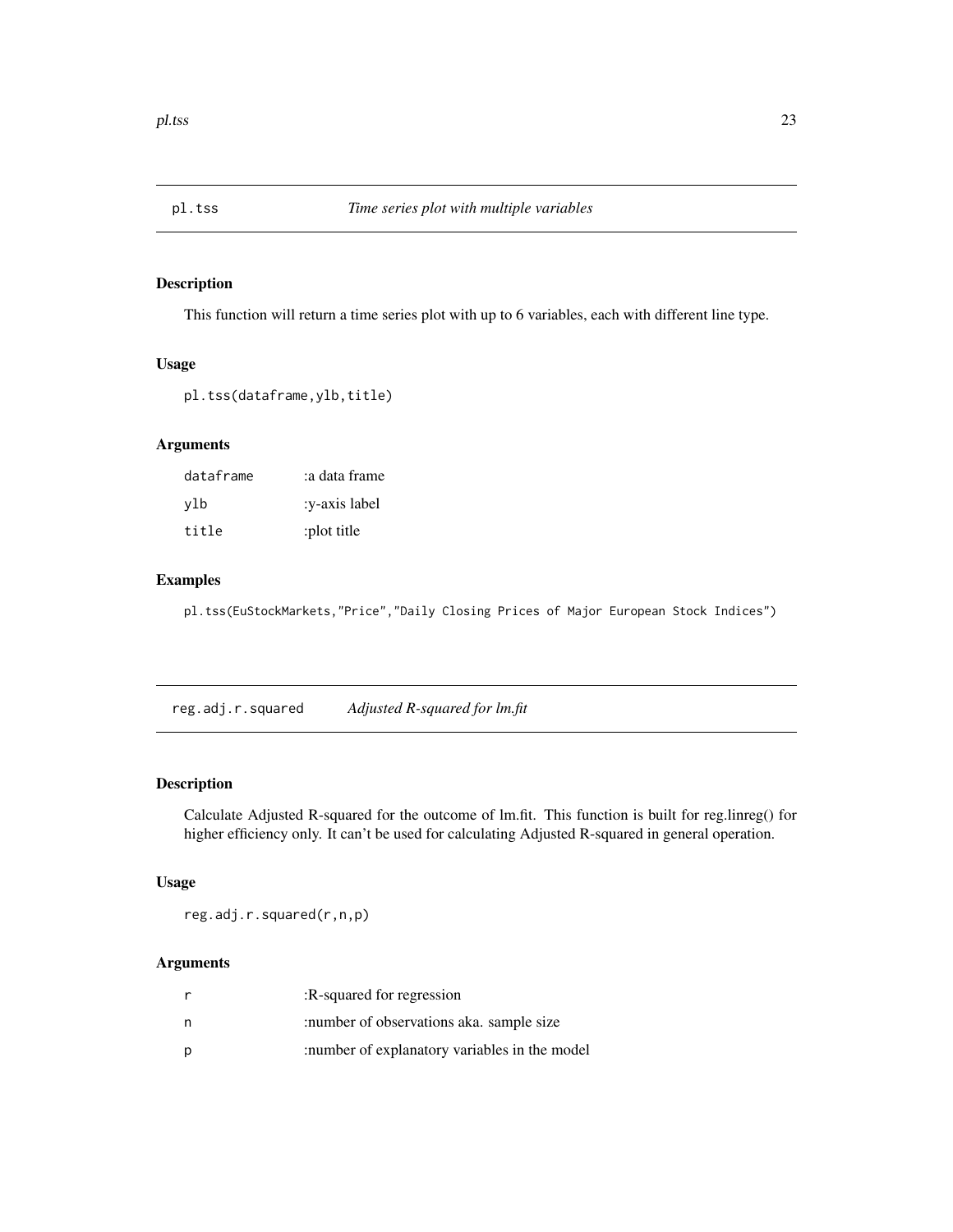<span id="page-22-0"></span>

This function will return a time series plot with up to 6 variables, each with different line type.

#### Usage

```
pl.tss(dataframe,ylb,title)
```
# Arguments

| dataframe | :a data frame |
|-----------|---------------|
| ylb       | :v-axis label |
| title     | :plot title   |

#### Examples

pl.tss(EuStockMarkets,"Price","Daily Closing Prices of Major European Stock Indices")

reg.adj.r.squared *Adjusted R-squared for lm.fit*

# Description

Calculate Adjusted R-squared for the outcome of lm.fit. This function is built for reg.linreg() for higher efficiency only. It can't be used for calculating Adjusted R-squared in general operation.

# Usage

reg.adj.r.squared(r,n,p)

|   | :R-squared for regression                      |
|---|------------------------------------------------|
| n | :number of observations aka. sample size       |
| p | : number of explanatory variables in the model |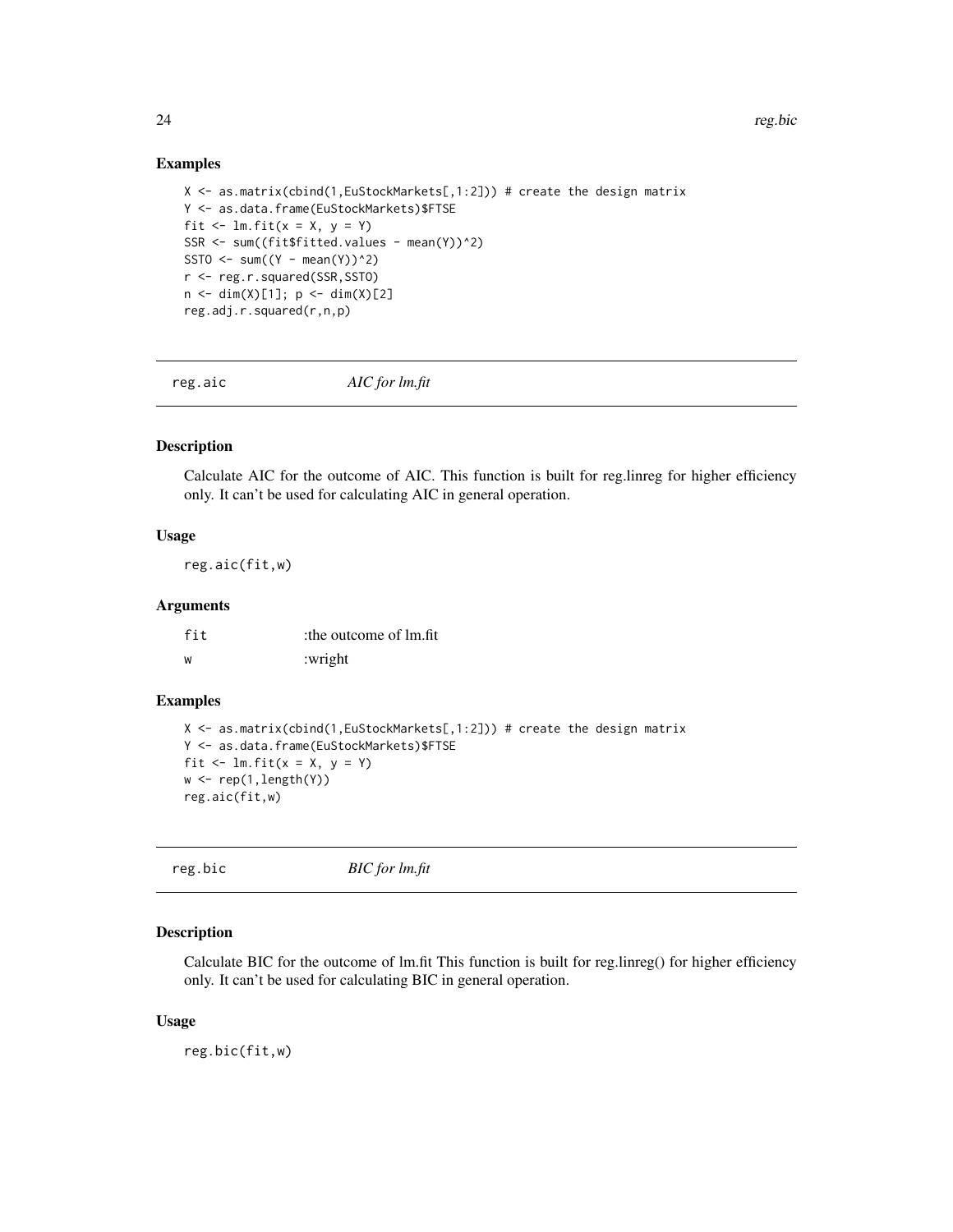#### Examples

```
X <- as.matrix(cbind(1,EuStockMarkets[,1:2])) # create the design matrix
Y <- as.data.frame(EuStockMarkets)$FTSE
fit \le - lm.fit(x = X, y = Y)SSR <- sum((fit$fitted.values - mean(Y))^2)
SSTO \le sum((Y - mean(Y))^2)
r <- reg.r.squared(SSR,SSTO)
n \leq -\dim(X)[1]; \ p \leq -\dim(X)[2]reg.adj.r.squared(r,n,p)
```
reg.aic *AIC for lm.fit*

# Description

Calculate AIC for the outcome of AIC. This function is built for reg.linreg for higher efficiency only. It can't be used for calculating AIC in general operation.

#### Usage

reg.aic(fit,w)

#### Arguments

| fit | the outcome of lm.fit |  |
|-----|-----------------------|--|
| ้พ  | :wright               |  |

# Examples

```
X \leftarrow as.matrix(cbind(1,EuStockMarkets[,1:2])) # create the design matrix
Y <- as.data.frame(EuStockMarkets)$FTSE
fit \le lm.fit(x = X, y = Y)
w \leftarrow \text{rep}(1, \text{length}(Y))reg.aic(fit,w)
```

```
reg.bic BIC for lm.fit
```
#### Description

Calculate BIC for the outcome of lm.fit This function is built for reg.linreg() for higher efficiency only. It can't be used for calculating BIC in general operation.

#### Usage

reg.bic(fit,w)

<span id="page-23-0"></span>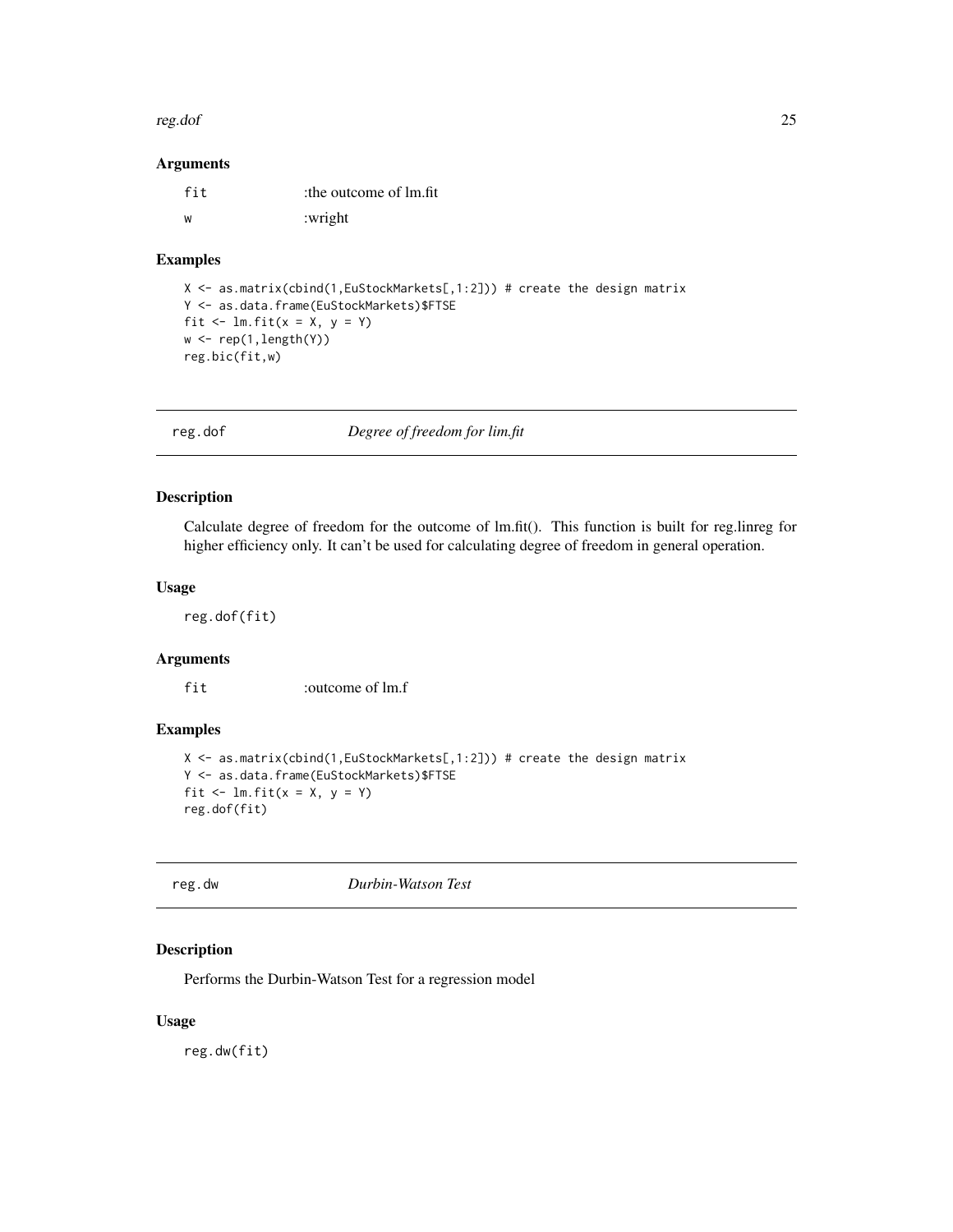#### <span id="page-24-0"></span>reg.dof 25

#### Arguments

| fit | the outcome of lm.fit |
|-----|-----------------------|
| W   | :wright               |

#### Examples

```
X <- as.matrix(cbind(1,EuStockMarkets[,1:2])) # create the design matrix
Y <- as.data.frame(EuStockMarkets)$FTSE
fit \le lm.fit(x = X, y = Y)
w \leftarrow \text{rep}(1, \text{length}(Y))reg.bic(fit,w)
```
reg.dof *Degree of freedom for lim.fit*

# Description

Calculate degree of freedom for the outcome of lm.fit(). This function is built for reg.linreg for higher efficiency only. It can't be used for calculating degree of freedom in general operation.

#### Usage

reg.dof(fit)

# Arguments

fit :outcome of lm.f

#### Examples

```
X <- as.matrix(cbind(1,EuStockMarkets[,1:2])) # create the design matrix
Y <- as.data.frame(EuStockMarkets)$FTSE
fit \le lm.fit(x = X, y = Y)
reg.dof(fit)
```
reg.dw *Durbin-Watson Test*

# Description

Performs the Durbin-Watson Test for a regression model

#### Usage

reg.dw(fit)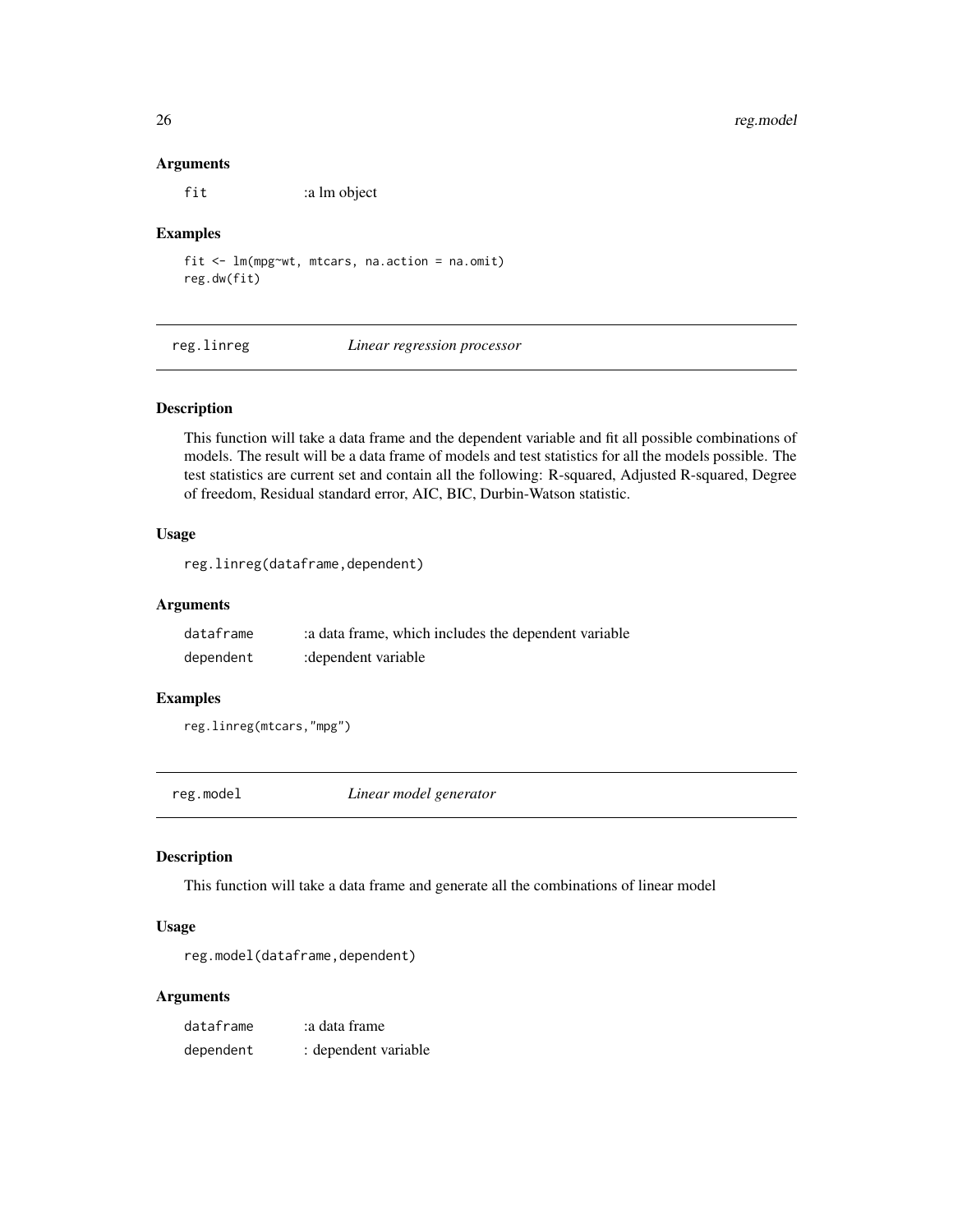#### Arguments

fit :a lm object

#### Examples

fit <- lm(mpg~wt, mtcars, na.action = na.omit) reg.dw(fit)

reg.linreg *Linear regression processor*

## Description

This function will take a data frame and the dependent variable and fit all possible combinations of models. The result will be a data frame of models and test statistics for all the models possible. The test statistics are current set and contain all the following: R-squared, Adjusted R-squared, Degree of freedom, Residual standard error, AIC, BIC, Durbin-Watson statistic.

#### Usage

reg.linreg(dataframe,dependent)

#### Arguments

| dataframe | : a data frame, which includes the dependent variable |
|-----------|-------------------------------------------------------|
| dependent | : dependent variable                                  |

#### Examples

reg.linreg(mtcars,"mpg")

reg.model *Linear model generator*

#### Description

This function will take a data frame and generate all the combinations of linear model

#### Usage

```
reg.model(dataframe,dependent)
```

| dataframe | a data frame:        |
|-----------|----------------------|
| dependent | : dependent variable |

<span id="page-25-0"></span>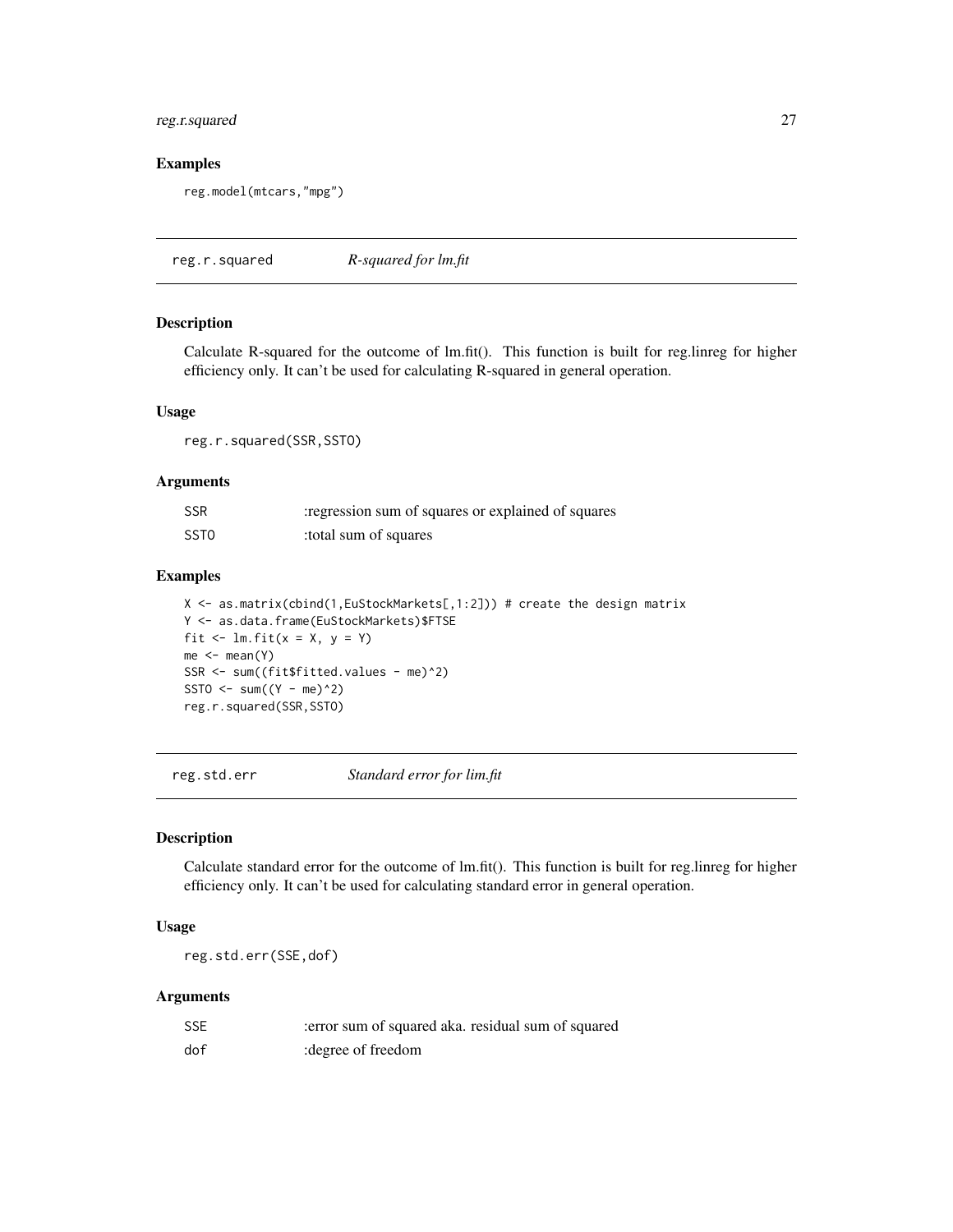# <span id="page-26-0"></span>reg.r.squared 27

# Examples

```
reg.model(mtcars,"mpg")
```
reg.r.squared *R-squared for lm.fit*

# Description

Calculate R-squared for the outcome of lm.fit(). This function is built for reg.linreg for higher efficiency only. It can't be used for calculating R-squared in general operation.

#### Usage

reg.r.squared(SSR,SSTO)

# Arguments

| <b>SSR</b>       | regression sum of squares or explained of squares |
|------------------|---------------------------------------------------|
| SST <sub>0</sub> | total sum of squares:                             |

#### Examples

X <- as.matrix(cbind(1,EuStockMarkets[,1:2])) # create the design matrix Y <- as.data.frame(EuStockMarkets)\$FTSE fit  $\le$  lm.fit( $x = X$ ,  $y = Y$ )  $me < -$  mean(Y) SSR <- sum((fit\$fitted.values - me)^2) SSTO  $\le$  sum((Y - me)^2) reg.r.squared(SSR,SSTO)

reg.std.err *Standard error for lim.fit*

#### Description

Calculate standard error for the outcome of lm.fit(). This function is built for reg.linreg for higher efficiency only. It can't be used for calculating standard error in general operation.

#### Usage

reg.std.err(SSE,dof)

| <b>SSE</b> | error sum of squared aka. residual sum of squared |  |
|------------|---------------------------------------------------|--|
| dof        | : degree of freedom                               |  |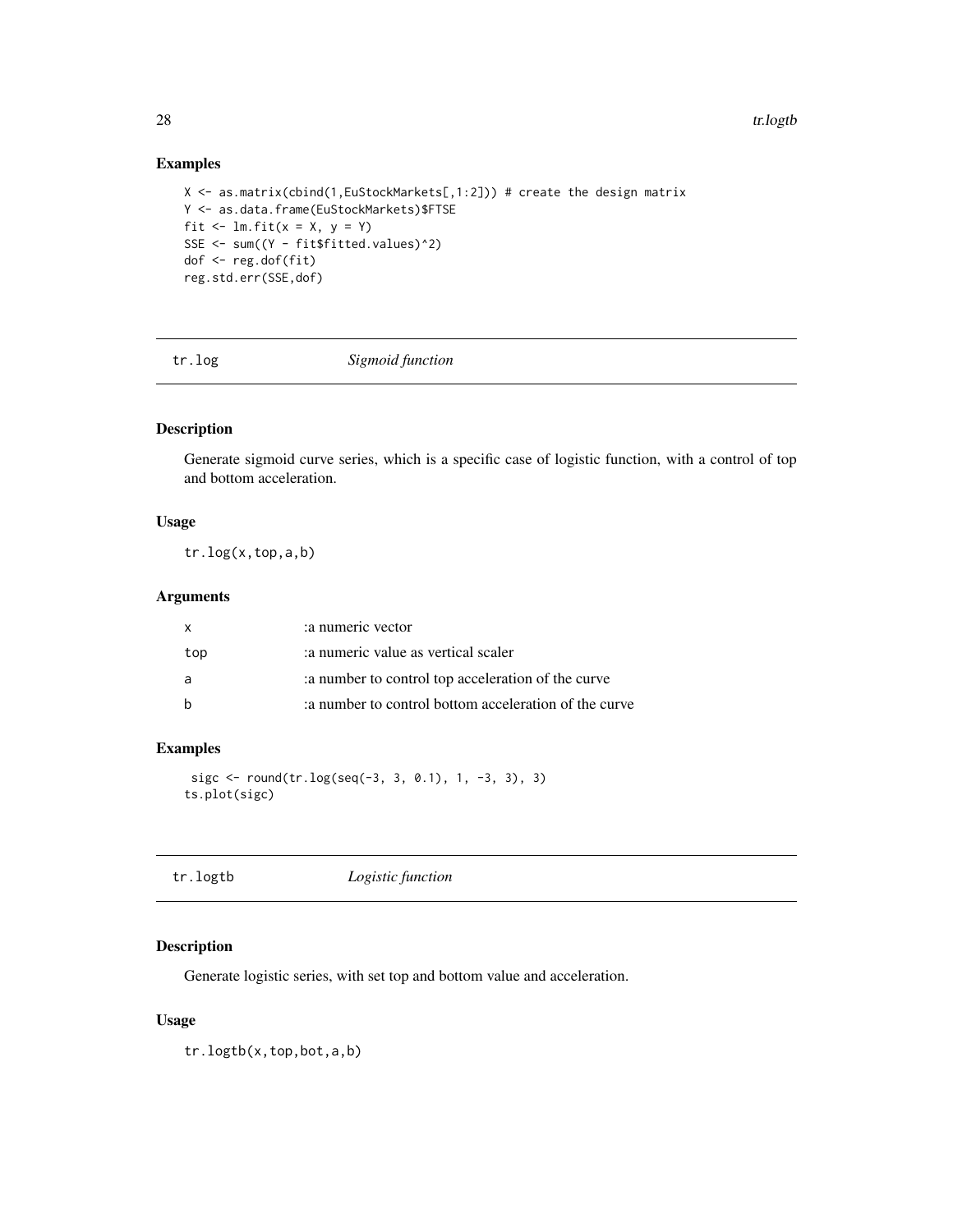# Examples

```
X <- as.matrix(cbind(1,EuStockMarkets[,1:2])) # create the design matrix
Y <- as.data.frame(EuStockMarkets)$FTSE
fit \le lm.fit(x = X, y = Y)
SSE <- sum((Y - fit$fitted.values)^2)
dof <- reg.dof(fit)
reg.std.err(SSE,dof)
```
tr.log *Sigmoid function*

# Description

Generate sigmoid curve series, which is a specific case of logistic function, with a control of top and bottom acceleration.

# Usage

tr.log(x,top,a,b)

#### Arguments

| X   | a numeric vector                                     |
|-----|------------------------------------------------------|
| top | a numeric value as vertical scaler                   |
| a   | a number to control top acceleration of the curve    |
| h   | a number to control bottom acceleration of the curve |

# Examples

```
sigc <- round(tr.log(seq(-3, 3, 0.1), 1, -3, 3), 3)ts.plot(sigc)
```

| Logistic function<br>tr.logtb |
|-------------------------------|
|-------------------------------|

# Description

Generate logistic series, with set top and bottom value and acceleration.

# Usage

tr.logtb(x,top,bot,a,b)

<span id="page-27-0"></span>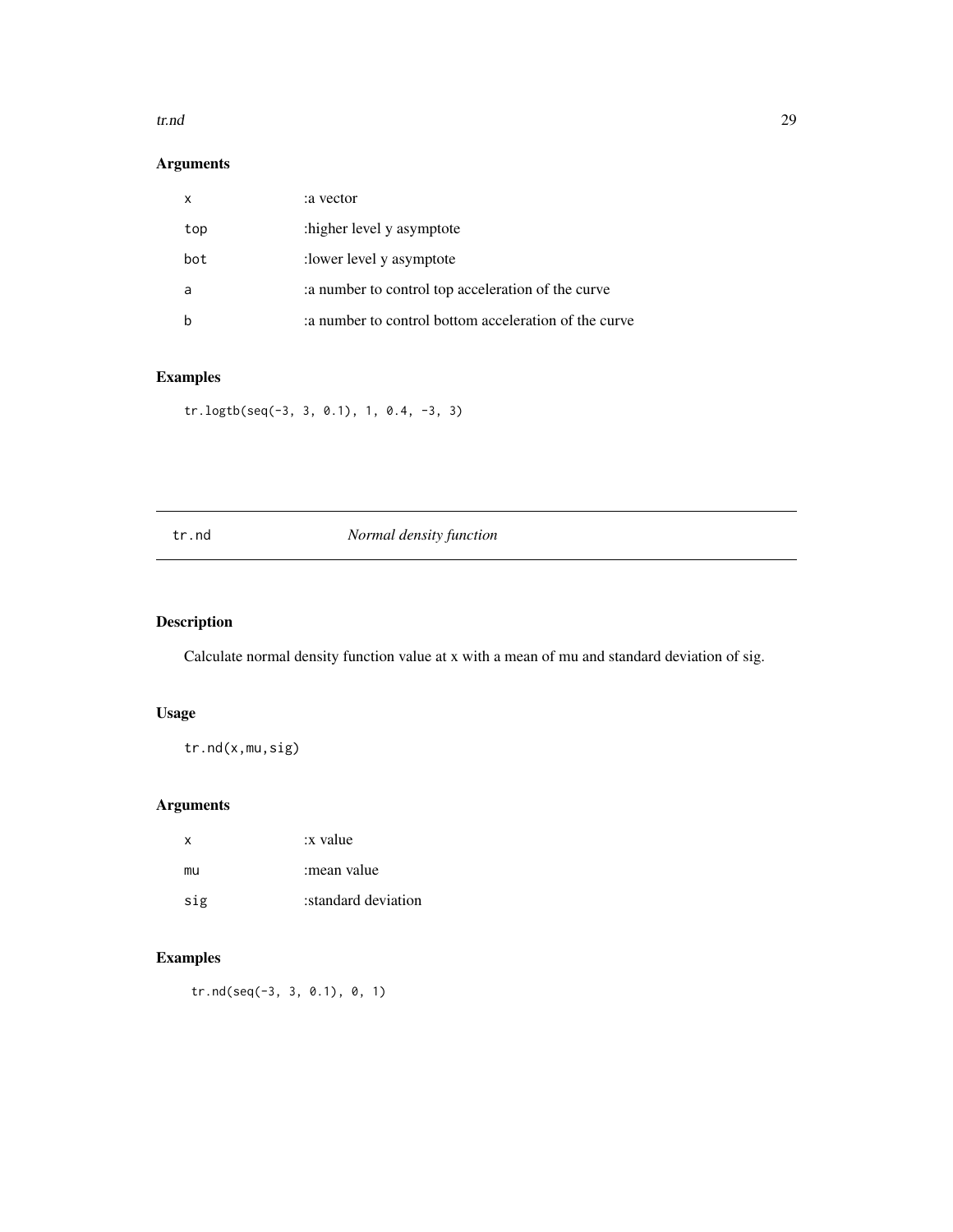#### <span id="page-28-0"></span>tr.nd 29

# Arguments

| x   | a vector:                                            |
|-----|------------------------------------------------------|
| top | :higher level y asymptote                            |
| bot | : lower level y asymptote                            |
| a   | a number to control top acceleration of the curve    |
|     | a number to control bottom acceleration of the curve |

# Examples

tr.logtb(seq(-3, 3, 0.1), 1, 0.4, -3, 3)

# tr.nd *Normal density function*

# Description

Calculate normal density function value at x with a mean of mu and standard deviation of sig.

# Usage

tr.nd(x,mu,sig)

# Arguments

| x   | :x value            |
|-----|---------------------|
| mu  | :mean value         |
| sig | standard deviation: |

# Examples

tr.nd(seq(-3, 3, 0.1), 0, 1)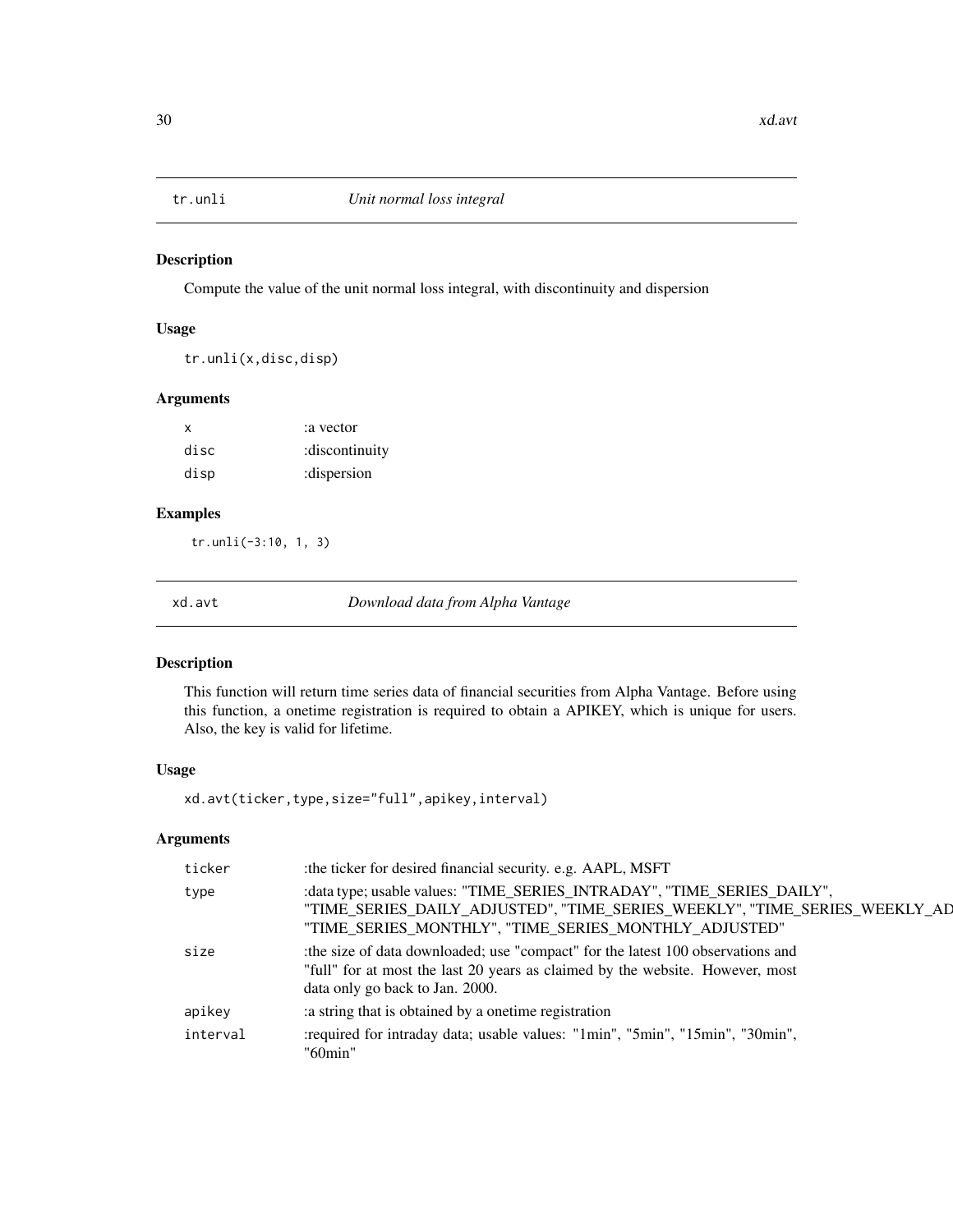<span id="page-29-0"></span>

Compute the value of the unit normal loss integral, with discontinuity and dispersion

#### Usage

tr.unli(x,disc,disp)

#### Arguments

| x    | a vector:      |
|------|----------------|
| disc | :discontinuity |
| disp | :dispersion    |

# Examples

tr.unli(-3:10, 1, 3)

xd.avt *Download data from Alpha Vantage*

# Description

This function will return time series data of financial securities from Alpha Vantage. Before using this function, a onetime registration is required to obtain a APIKEY, which is unique for users. Also, the key is valid for lifetime.

# Usage

xd.avt(ticker,type,size="full",apikey,interval)

| :the ticker for desired financial security. e.g. AAPL, MSFT                                                                                                                                                     |
|-----------------------------------------------------------------------------------------------------------------------------------------------------------------------------------------------------------------|
| : data type; usable values: "TIME_SERIES_INTRADAY", "TIME_SERIES_DAILY",<br>"TIME_SERIES_DAILY_ADJUSTED", "TIME_SERIES_WEEKLY", "TIME_SERIES_WEEKLY_AD<br>"TIME_SERIES_MONTHLY", "TIME_SERIES_MONTHLY_ADJUSTED" |
| the size of data downloaded; use "compact" for the latest 100 observations and<br>"full" for at most the last 20 years as claimed by the website. However, most<br>data only go back to Jan. 2000.              |
| a string that is obtained by a onetime registration                                                                                                                                                             |
| : required for intraday data; usable values: "1min", "5min", "15min", "30min",<br>"60min"                                                                                                                       |
|                                                                                                                                                                                                                 |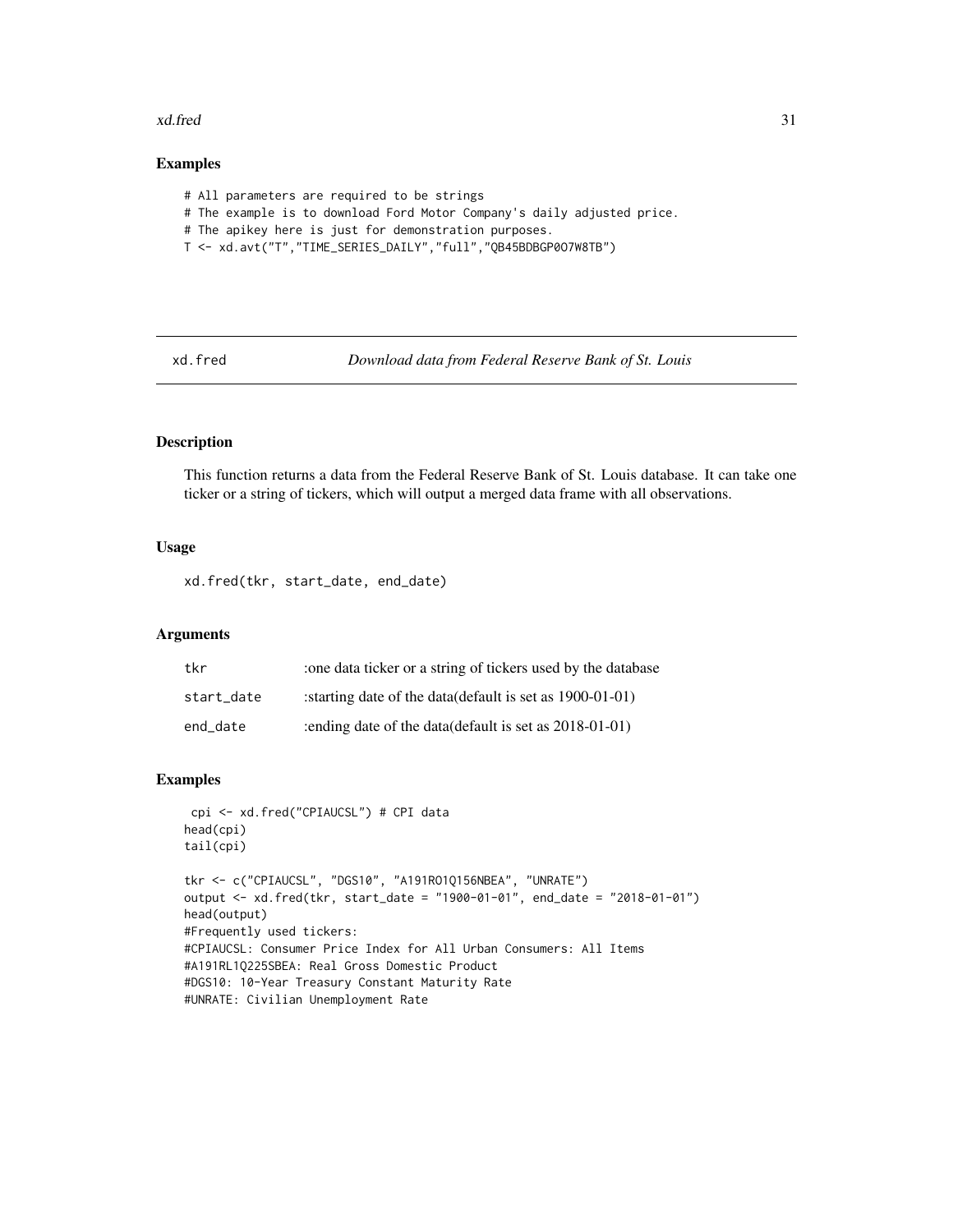#### <span id="page-30-0"></span>xd.fred 31

# Examples

- # All parameters are required to be strings
- # The example is to download Ford Motor Company's daily adjusted price.
- # The apikey here is just for demonstration purposes.
- T <- xd.avt("T","TIME\_SERIES\_DAILY","full","QB45BDBGP0O7W8TB")

xd.fred *Download data from Federal Reserve Bank of St. Louis*

# Description

This function returns a data from the Federal Reserve Bank of St. Louis database. It can take one ticker or a string of tickers, which will output a merged data frame with all observations.

# Usage

xd.fred(tkr, start\_date, end\_date)

# Arguments

| tkr        | the data ticker or a string of tickers used by the database   |
|------------|---------------------------------------------------------------|
| start date | : starting date of the data (default is set as $1900-01-01$ ) |
| end date   | : ending date of the data (default is set as $2018-01-01$ )   |

#### **Examples**

```
cpi <- xd.fred("CPIAUCSL") # CPI data
head(cpi)
tail(cpi)
tkr <- c("CPIAUCSL", "DGS10", "A191RO1Q156NBEA", "UNRATE")
output <- xd.fred(tkr, start_date = "1900-01-01", end_date = "2018-01-01")
head(output)
#Frequently used tickers:
#CPIAUCSL: Consumer Price Index for All Urban Consumers: All Items
#A191RL1Q225SBEA: Real Gross Domestic Product
#DGS10: 10-Year Treasury Constant Maturity Rate
#UNRATE: Civilian Unemployment Rate
```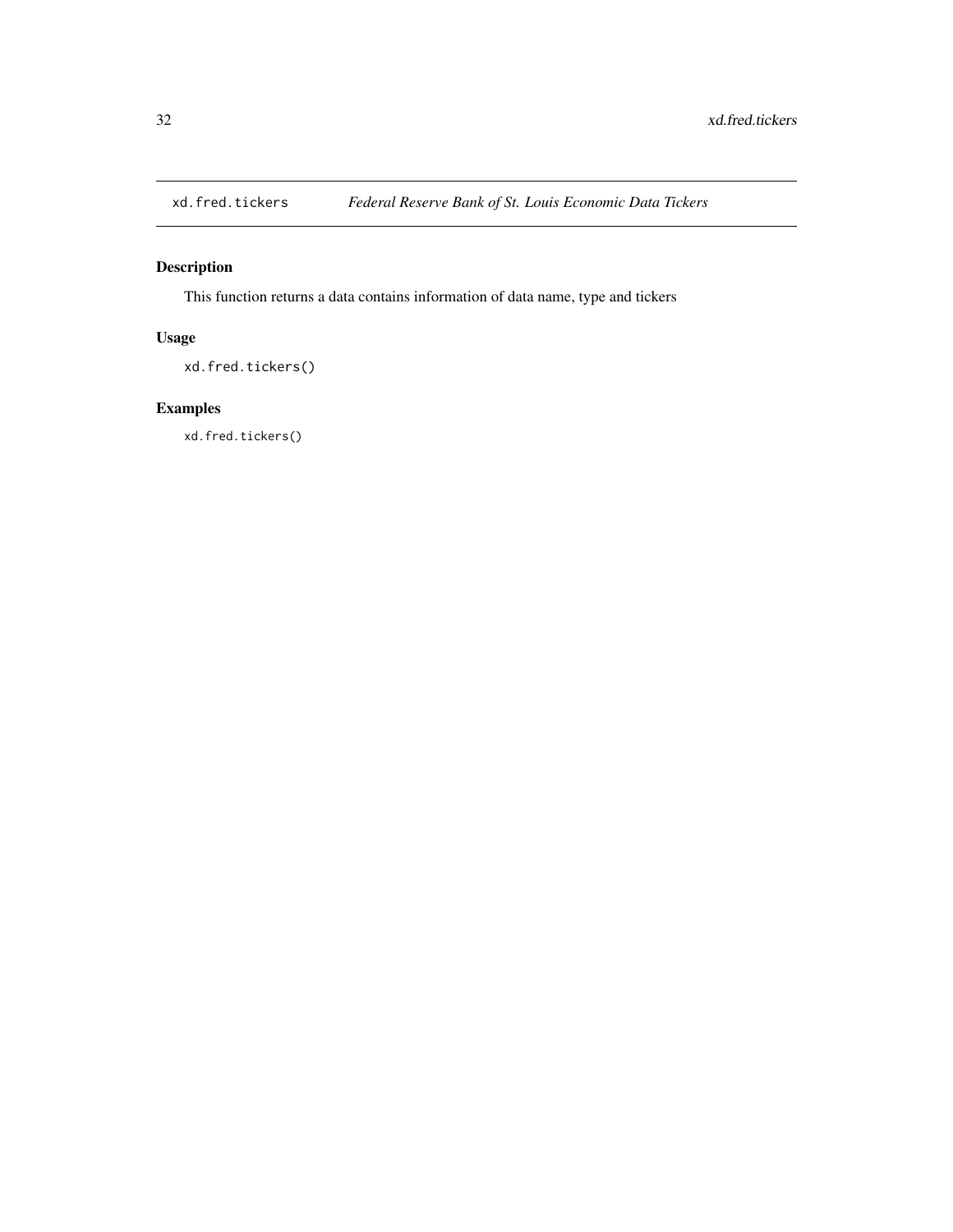<span id="page-31-0"></span>

This function returns a data contains information of data name, type and tickers

# Usage

xd.fred.tickers()

# Examples

xd.fred.tickers()